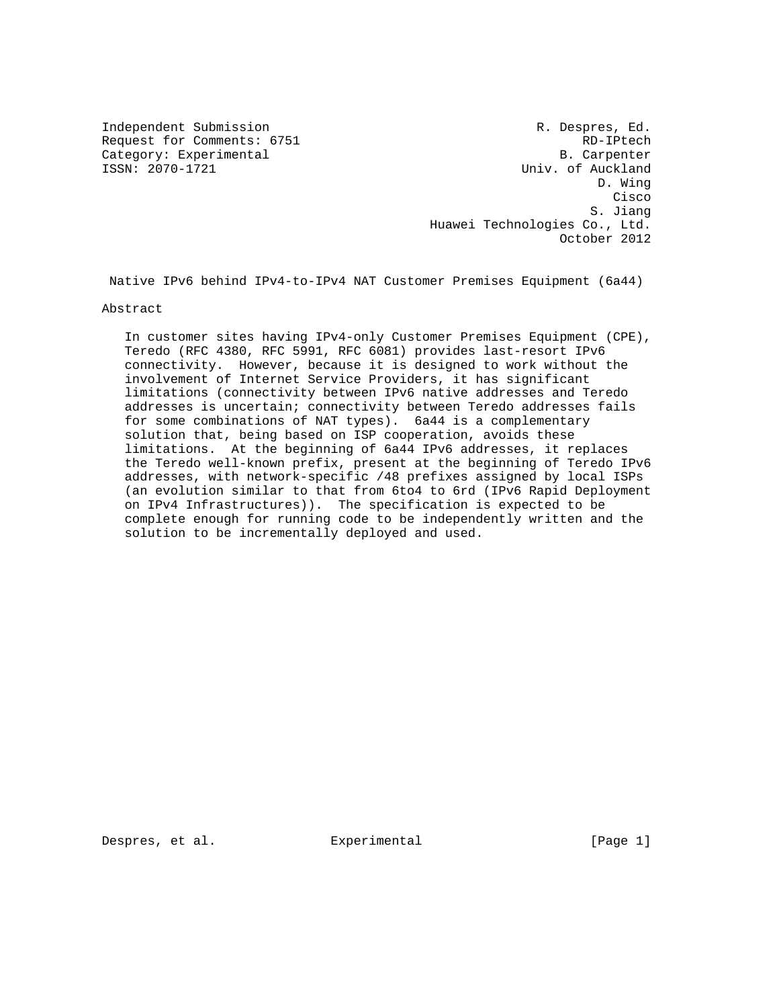Independent Submission **R. Despres, Ed.** (a)  $R$ . Despres, Ed. Request for Comments: 6751 RD-IPtech Category: Experimental B. Carpenter<br>
ISSN: 2070-1721 Univ. of Auckland Univ. of Auckland D. Wing **Cisco de la contrata de la contrata de la contrata de la contrata de la contrata de la contrata de la contrat** S. Jiang S. Jiang S. Jiang S. Jiang S. Jiang S. Jiang S. Jiang S. Jiang S. Jiang S. Jiang S. Jiang S. Jiang S. Jiang S. Jiang S. Jiang S. Jiang S. Jiang S. Jiang S. Jiang S. Jiang S. Jiang S. Jiang S. Jiang S. Jiang S. Jia Huawei Technologies Co., Ltd. October 2012

Native IPv6 behind IPv4-to-IPv4 NAT Customer Premises Equipment (6a44)

Abstract

 In customer sites having IPv4-only Customer Premises Equipment (CPE), Teredo (RFC 4380, RFC 5991, RFC 6081) provides last-resort IPv6 connectivity. However, because it is designed to work without the involvement of Internet Service Providers, it has significant limitations (connectivity between IPv6 native addresses and Teredo addresses is uncertain; connectivity between Teredo addresses fails for some combinations of NAT types). 6a44 is a complementary solution that, being based on ISP cooperation, avoids these limitations. At the beginning of 6a44 IPv6 addresses, it replaces the Teredo well-known prefix, present at the beginning of Teredo IPv6 addresses, with network-specific /48 prefixes assigned by local ISPs (an evolution similar to that from 6to4 to 6rd (IPv6 Rapid Deployment on IPv4 Infrastructures)). The specification is expected to be complete enough for running code to be independently written and the solution to be incrementally deployed and used.

Despres, et al. Experimental Experimental [Page 1]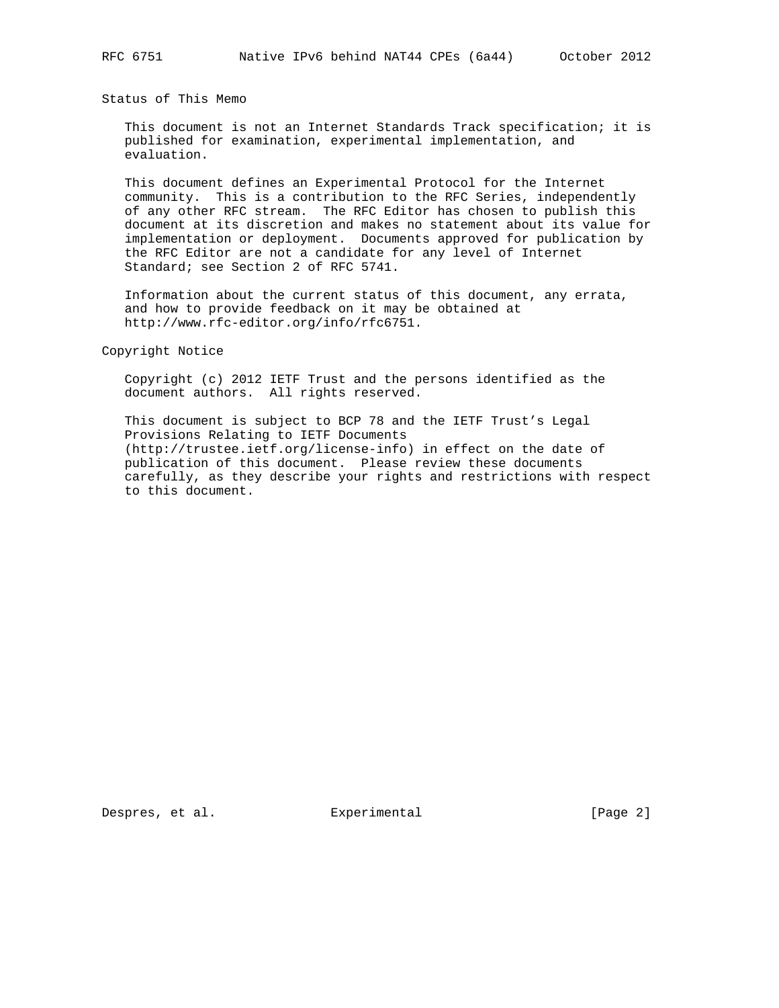Status of This Memo

 This document is not an Internet Standards Track specification; it is published for examination, experimental implementation, and evaluation.

 This document defines an Experimental Protocol for the Internet community. This is a contribution to the RFC Series, independently of any other RFC stream. The RFC Editor has chosen to publish this document at its discretion and makes no statement about its value for implementation or deployment. Documents approved for publication by the RFC Editor are not a candidate for any level of Internet Standard; see Section 2 of RFC 5741.

 Information about the current status of this document, any errata, and how to provide feedback on it may be obtained at http://www.rfc-editor.org/info/rfc6751.

Copyright Notice

 Copyright (c) 2012 IETF Trust and the persons identified as the document authors. All rights reserved.

 This document is subject to BCP 78 and the IETF Trust's Legal Provisions Relating to IETF Documents (http://trustee.ietf.org/license-info) in effect on the date of publication of this document. Please review these documents carefully, as they describe your rights and restrictions with respect to this document.

Despres, et al. Experimental [Page 2]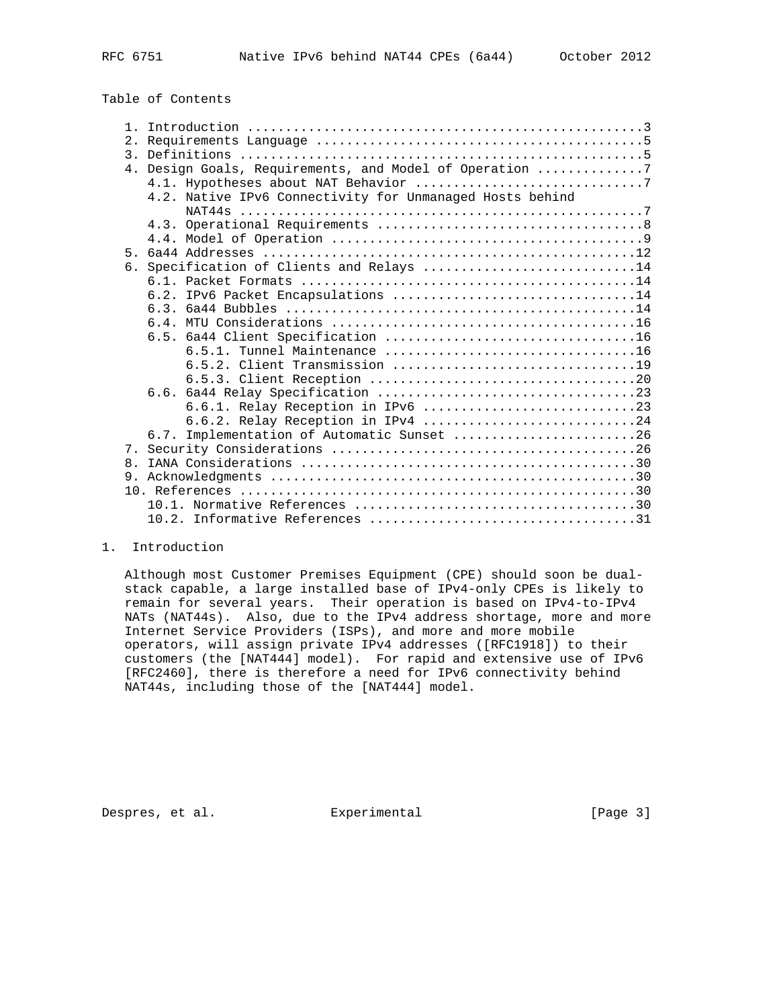| 2 <sub>1</sub> |                                                          |
|----------------|----------------------------------------------------------|
|                |                                                          |
|                | 4. Design Goals, Requirements, and Model of Operation 7  |
|                |                                                          |
|                | 4.2. Native IPv6 Connectivity for Unmanaged Hosts behind |
|                |                                                          |
|                |                                                          |
|                |                                                          |
| 5 <sub>1</sub> |                                                          |
|                | 6. Specification of Clients and Relays 14                |
|                |                                                          |
|                | 6.2. IPv6 Packet Encapsulations 14                       |
|                |                                                          |
|                |                                                          |
|                |                                                          |
|                |                                                          |
|                |                                                          |
|                |                                                          |
|                |                                                          |
|                | 6.6.1. Relay Reception in IPv6 23                        |
|                | 6.6.2. Relay Reception in IPv4 24                        |
|                | 6.7. Implementation of Automatic Sunset 26               |
|                |                                                          |
| $\mathsf{R}$   |                                                          |
|                |                                                          |
|                |                                                          |
|                |                                                          |
|                |                                                          |

## 1. Introduction

 Although most Customer Premises Equipment (CPE) should soon be dual stack capable, a large installed base of IPv4-only CPEs is likely to remain for several years. Their operation is based on IPv4-to-IPv4 NATs (NAT44s). Also, due to the IPv4 address shortage, more and more Internet Service Providers (ISPs), and more and more mobile operators, will assign private IPv4 addresses ([RFC1918]) to their customers (the [NAT444] model). For rapid and extensive use of IPv6 [RFC2460], there is therefore a need for IPv6 connectivity behind NAT44s, including those of the [NAT444] model.

Despres, et al. Experimental Experimental [Page 3]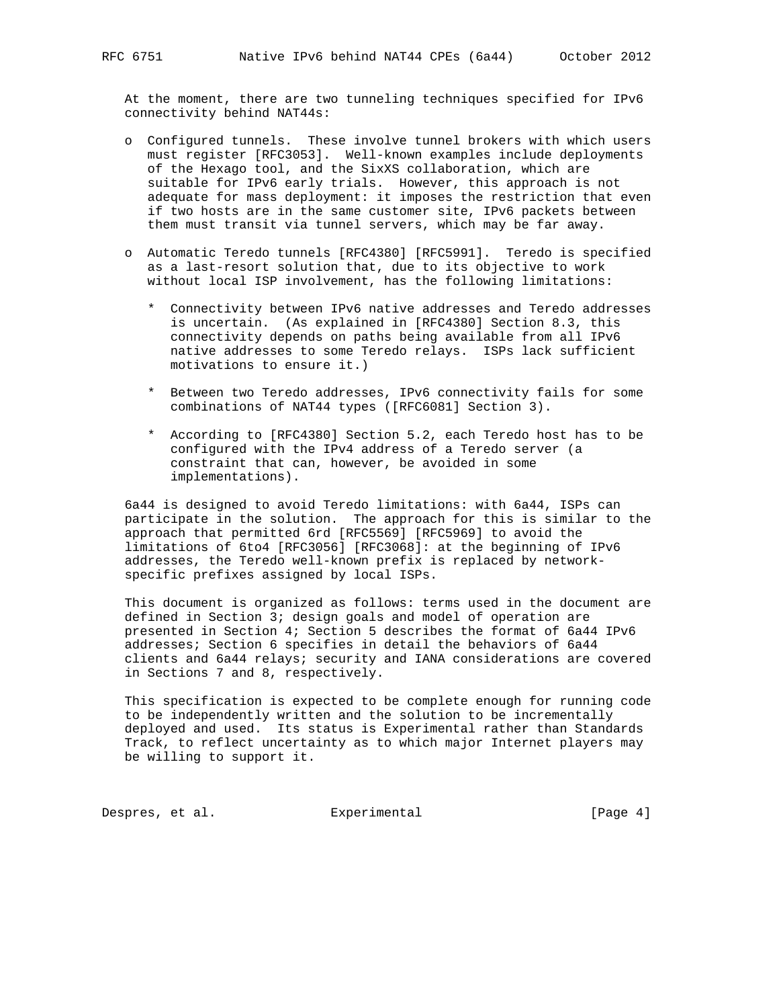At the moment, there are two tunneling techniques specified for IPv6 connectivity behind NAT44s:

- o Configured tunnels. These involve tunnel brokers with which users must register [RFC3053]. Well-known examples include deployments of the Hexago tool, and the SixXS collaboration, which are suitable for IPv6 early trials. However, this approach is not adequate for mass deployment: it imposes the restriction that even if two hosts are in the same customer site, IPv6 packets between them must transit via tunnel servers, which may be far away.
- o Automatic Teredo tunnels [RFC4380] [RFC5991]. Teredo is specified as a last-resort solution that, due to its objective to work without local ISP involvement, has the following limitations:
	- \* Connectivity between IPv6 native addresses and Teredo addresses is uncertain. (As explained in [RFC4380] Section 8.3, this connectivity depends on paths being available from all IPv6 native addresses to some Teredo relays. ISPs lack sufficient motivations to ensure it.)
	- \* Between two Teredo addresses, IPv6 connectivity fails for some combinations of NAT44 types ([RFC6081] Section 3).
	- \* According to [RFC4380] Section 5.2, each Teredo host has to be configured with the IPv4 address of a Teredo server (a constraint that can, however, be avoided in some implementations).

 6a44 is designed to avoid Teredo limitations: with 6a44, ISPs can participate in the solution. The approach for this is similar to the approach that permitted 6rd [RFC5569] [RFC5969] to avoid the limitations of 6to4 [RFC3056] [RFC3068]: at the beginning of IPv6 addresses, the Teredo well-known prefix is replaced by network specific prefixes assigned by local ISPs.

 This document is organized as follows: terms used in the document are defined in Section 3; design goals and model of operation are presented in Section 4; Section 5 describes the format of 6a44 IPv6 addresses; Section 6 specifies in detail the behaviors of 6a44 clients and 6a44 relays; security and IANA considerations are covered in Sections 7 and 8, respectively.

 This specification is expected to be complete enough for running code to be independently written and the solution to be incrementally deployed and used. Its status is Experimental rather than Standards Track, to reflect uncertainty as to which major Internet players may be willing to support it.

Despres, et al. Experimental Experimental [Page 4]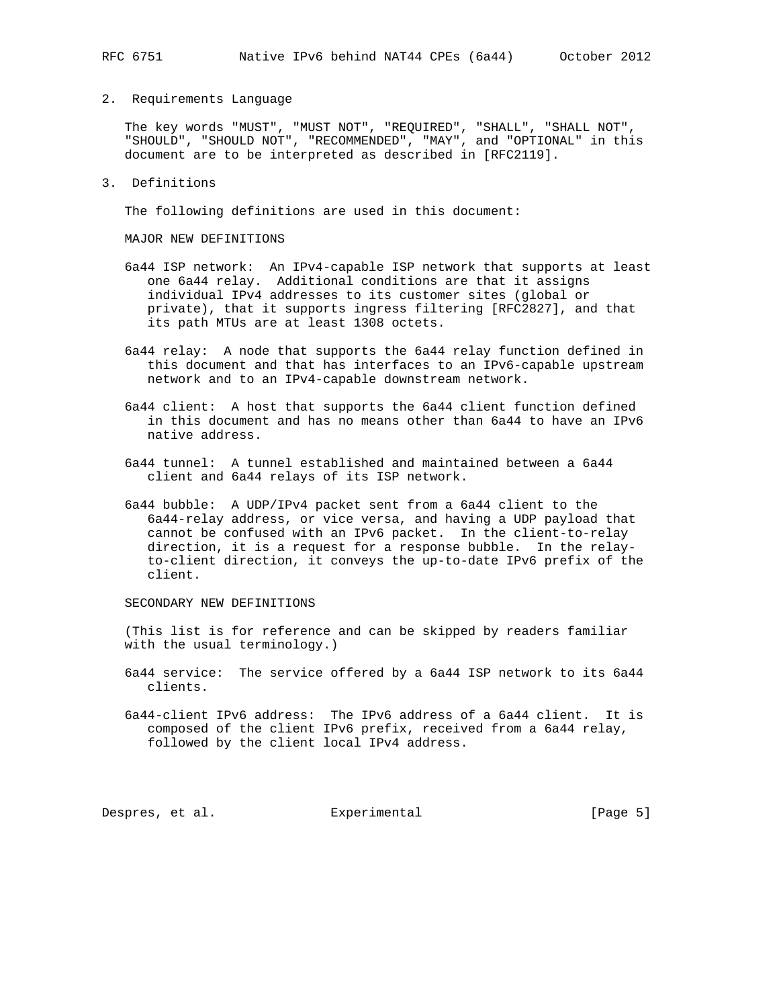2. Requirements Language

 The key words "MUST", "MUST NOT", "REQUIRED", "SHALL", "SHALL NOT", "SHOULD", "SHOULD NOT", "RECOMMENDED", "MAY", and "OPTIONAL" in this document are to be interpreted as described in [RFC2119].

3. Definitions

The following definitions are used in this document:

MAJOR NEW DEFINITIONS

- 6a44 ISP network: An IPv4-capable ISP network that supports at least one 6a44 relay. Additional conditions are that it assigns individual IPv4 addresses to its customer sites (global or private), that it supports ingress filtering [RFC2827], and that its path MTUs are at least 1308 octets.
- 6a44 relay: A node that supports the 6a44 relay function defined in this document and that has interfaces to an IPv6-capable upstream network and to an IPv4-capable downstream network.
- 6a44 client: A host that supports the 6a44 client function defined in this document and has no means other than 6a44 to have an IPv6 native address.
- 6a44 tunnel: A tunnel established and maintained between a 6a44 client and 6a44 relays of its ISP network.
- 6a44 bubble: A UDP/IPv4 packet sent from a 6a44 client to the 6a44-relay address, or vice versa, and having a UDP payload that cannot be confused with an IPv6 packet. In the client-to-relay direction, it is a request for a response bubble. In the relay to-client direction, it conveys the up-to-date IPv6 prefix of the client.

SECONDARY NEW DEFINITIONS

 (This list is for reference and can be skipped by readers familiar with the usual terminology.)

- 6a44 service: The service offered by a 6a44 ISP network to its 6a44 clients.
- 6a44-client IPv6 address: The IPv6 address of a 6a44 client. It is composed of the client IPv6 prefix, received from a 6a44 relay, followed by the client local IPv4 address.

Despres, et al. Experimental Experimental [Page 5]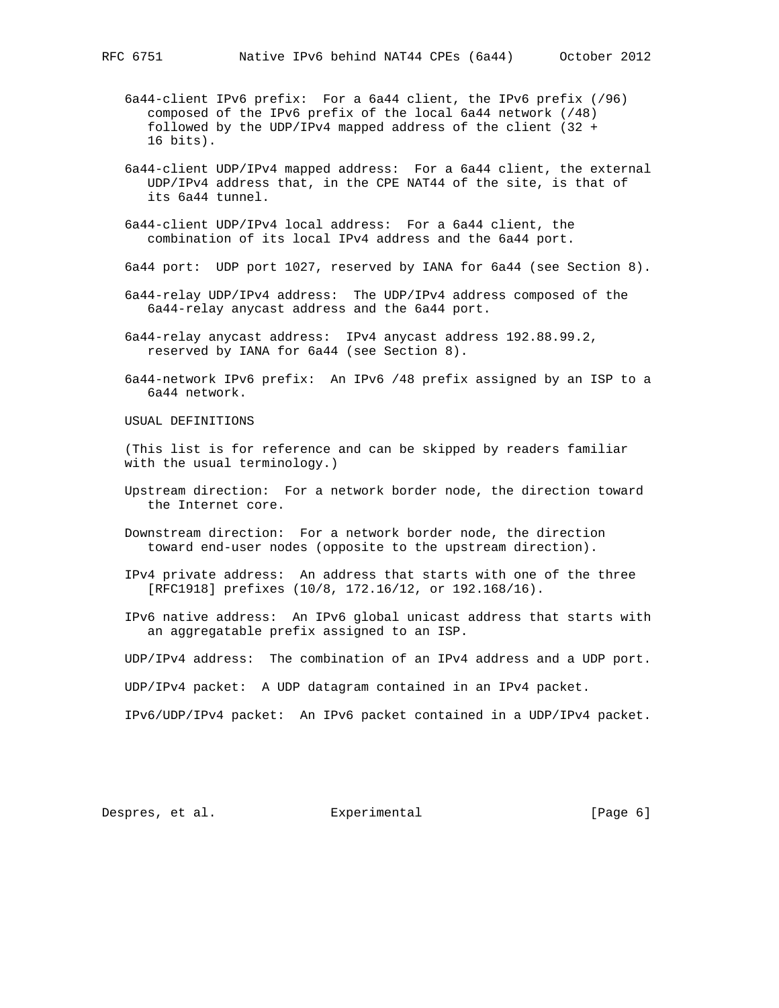6a44-client IPv6 prefix: For a 6a44 client, the IPv6 prefix (/96) composed of the IPv6 prefix of the local 6a44 network (/48) followed by the UDP/IPv4 mapped address of the client (32 + 16 bits).

- 6a44-client UDP/IPv4 mapped address: For a 6a44 client, the external UDP/IPv4 address that, in the CPE NAT44 of the site, is that of its 6a44 tunnel.
- 6a44-client UDP/IPv4 local address: For a 6a44 client, the combination of its local IPv4 address and the 6a44 port.
- 6a44 port: UDP port 1027, reserved by IANA for 6a44 (see Section 8).
- 6a44-relay UDP/IPv4 address: The UDP/IPv4 address composed of the 6a44-relay anycast address and the 6a44 port.
- 6a44-relay anycast address: IPv4 anycast address 192.88.99.2, reserved by IANA for 6a44 (see Section 8).
- 6a44-network IPv6 prefix: An IPv6 /48 prefix assigned by an ISP to a 6a44 network.
- USUAL DEFINITIONS
- (This list is for reference and can be skipped by readers familiar with the usual terminology.)
- Upstream direction: For a network border node, the direction toward the Internet core.
- Downstream direction: For a network border node, the direction toward end-user nodes (opposite to the upstream direction).
- IPv4 private address: An address that starts with one of the three [RFC1918] prefixes (10/8, 172.16/12, or 192.168/16).
- IPv6 native address: An IPv6 global unicast address that starts with an aggregatable prefix assigned to an ISP.

UDP/IPv4 address: The combination of an IPv4 address and a UDP port.

UDP/IPv4 packet: A UDP datagram contained in an IPv4 packet.

IPv6/UDP/IPv4 packet: An IPv6 packet contained in a UDP/IPv4 packet.

Despres, et al. Experimental [Page 6]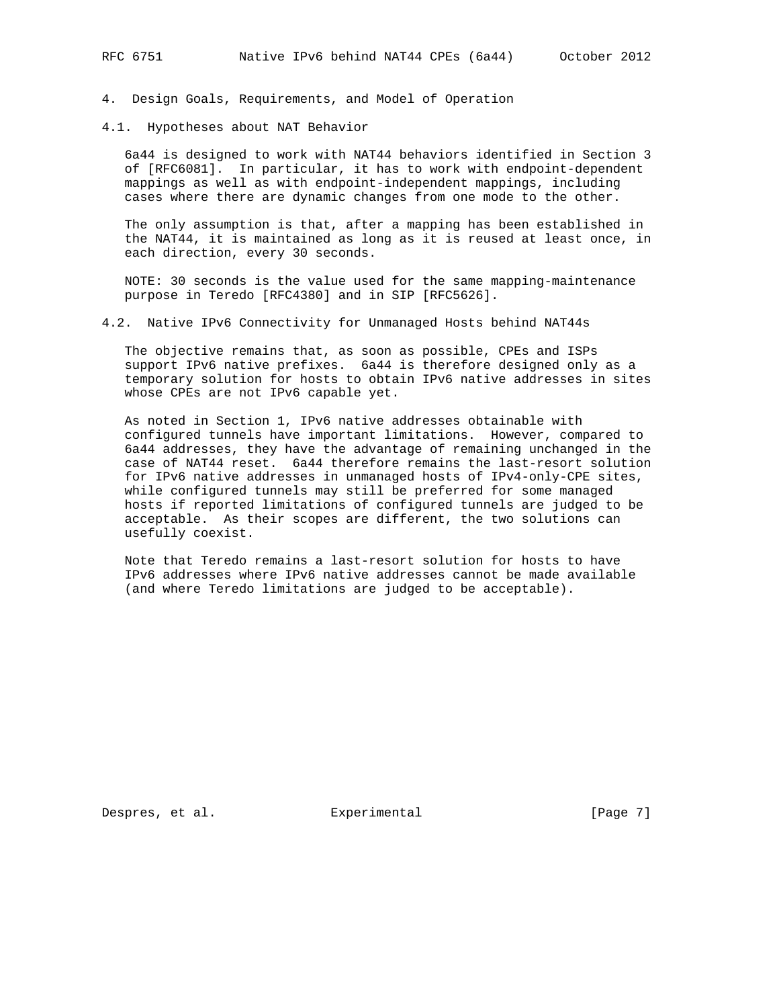4. Design Goals, Requirements, and Model of Operation

4.1. Hypotheses about NAT Behavior

 6a44 is designed to work with NAT44 behaviors identified in Section 3 of [RFC6081]. In particular, it has to work with endpoint-dependent mappings as well as with endpoint-independent mappings, including cases where there are dynamic changes from one mode to the other.

 The only assumption is that, after a mapping has been established in the NAT44, it is maintained as long as it is reused at least once, in each direction, every 30 seconds.

 NOTE: 30 seconds is the value used for the same mapping-maintenance purpose in Teredo [RFC4380] and in SIP [RFC5626].

4.2. Native IPv6 Connectivity for Unmanaged Hosts behind NAT44s

 The objective remains that, as soon as possible, CPEs and ISPs support IPv6 native prefixes. 6a44 is therefore designed only as a temporary solution for hosts to obtain IPv6 native addresses in sites whose CPEs are not IPv6 capable yet.

 As noted in Section 1, IPv6 native addresses obtainable with configured tunnels have important limitations. However, compared to 6a44 addresses, they have the advantage of remaining unchanged in the case of NAT44 reset. 6a44 therefore remains the last-resort solution for IPv6 native addresses in unmanaged hosts of IPv4-only-CPE sites, while configured tunnels may still be preferred for some managed hosts if reported limitations of configured tunnels are judged to be acceptable. As their scopes are different, the two solutions can usefully coexist.

 Note that Teredo remains a last-resort solution for hosts to have IPv6 addresses where IPv6 native addresses cannot be made available (and where Teredo limitations are judged to be acceptable).

Despres, et al. Experimental [Page 7]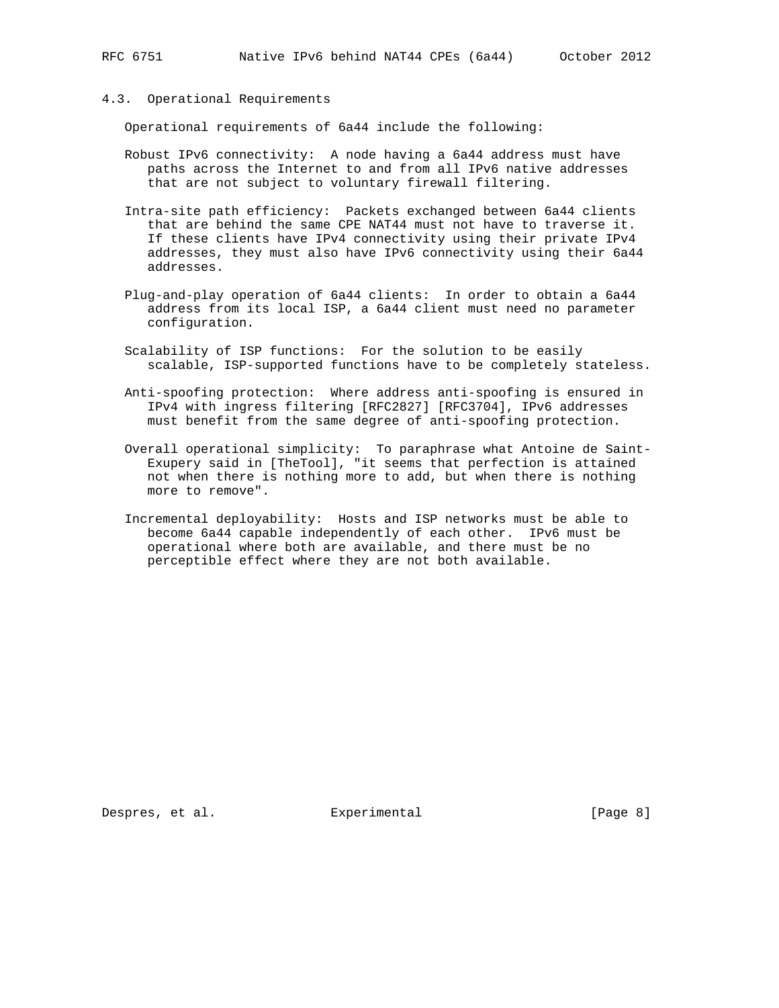4.3. Operational Requirements

Operational requirements of 6a44 include the following:

- Robust IPv6 connectivity: A node having a 6a44 address must have paths across the Internet to and from all IPv6 native addresses that are not subject to voluntary firewall filtering.
- Intra-site path efficiency: Packets exchanged between 6a44 clients that are behind the same CPE NAT44 must not have to traverse it. If these clients have IPv4 connectivity using their private IPv4 addresses, they must also have IPv6 connectivity using their 6a44 addresses.
- Plug-and-play operation of 6a44 clients: In order to obtain a 6a44 address from its local ISP, a 6a44 client must need no parameter configuration.
- Scalability of ISP functions: For the solution to be easily scalable, ISP-supported functions have to be completely stateless.
- Anti-spoofing protection: Where address anti-spoofing is ensured in IPv4 with ingress filtering [RFC2827] [RFC3704], IPv6 addresses must benefit from the same degree of anti-spoofing protection.
- Overall operational simplicity: To paraphrase what Antoine de Saint- Exupery said in [TheTool], "it seems that perfection is attained not when there is nothing more to add, but when there is nothing more to remove".
- Incremental deployability: Hosts and ISP networks must be able to become 6a44 capable independently of each other. IPv6 must be operational where both are available, and there must be no perceptible effect where they are not both available.

Despres, et al. Experimental [Page 8]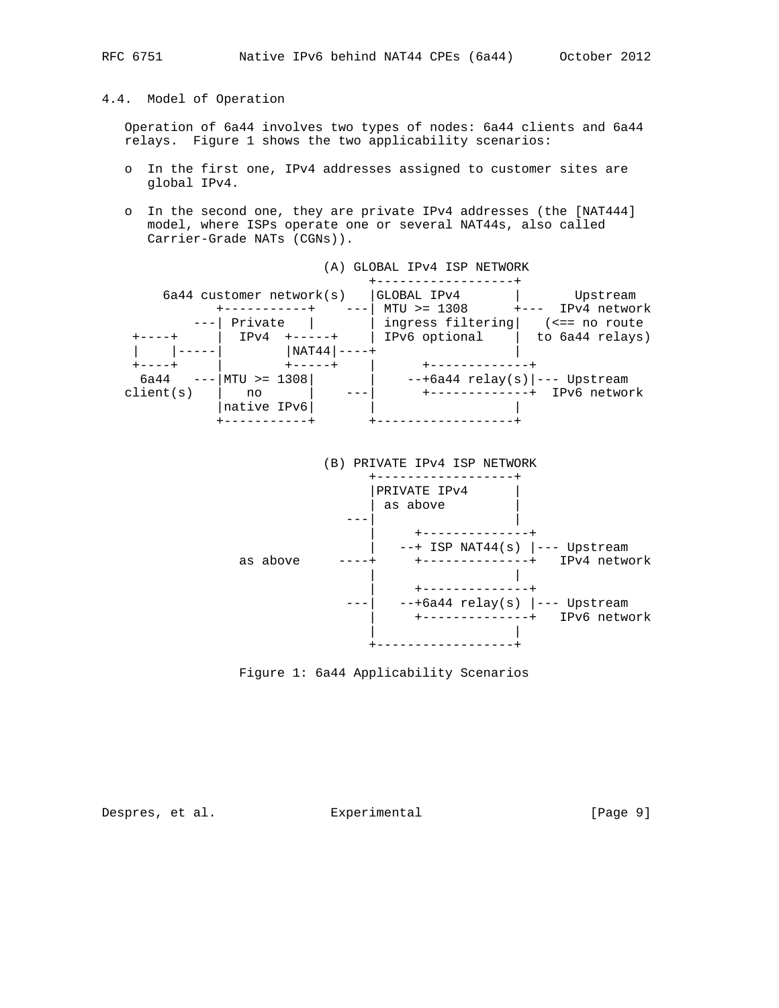# 4.4. Model of Operation

 Operation of 6a44 involves two types of nodes: 6a44 clients and 6a44 relays. Figure 1 shows the two applicability scenarios:

- o In the first one, IPv4 addresses assigned to customer sites are global IPv4.
- o In the second one, they are private IPv4 addresses (the [NAT444] model, where ISPs operate one or several NAT44s, also called Carrier-Grade NATs (CGNs)).





Despres, et al. Experimental Experimental [Page 9]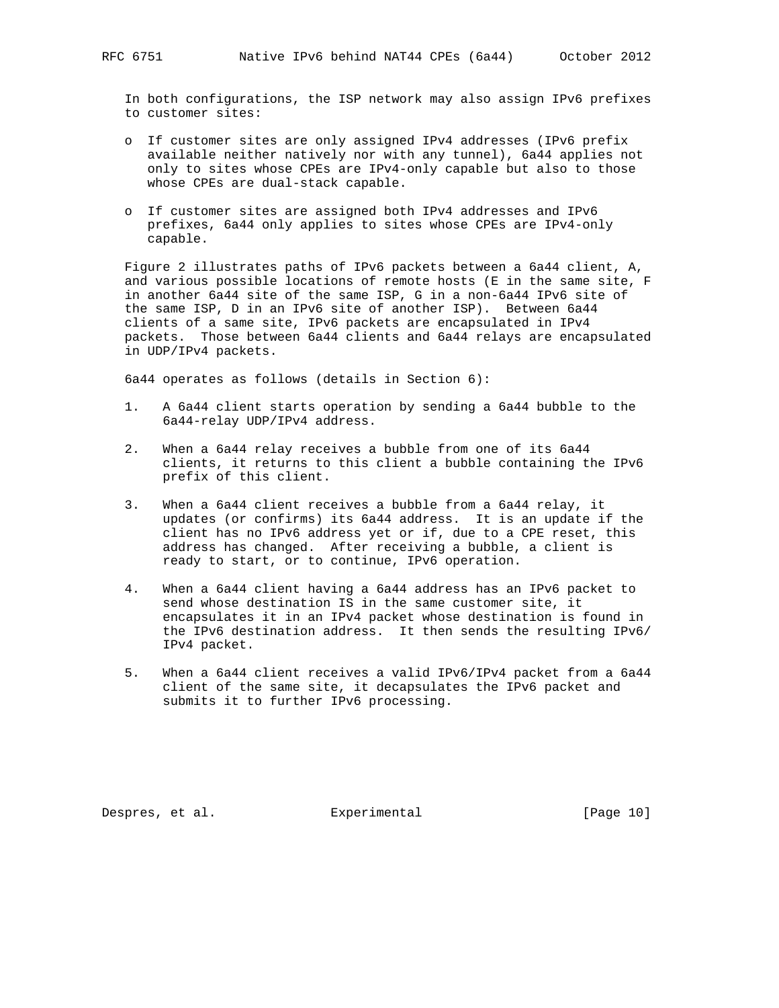In both configurations, the ISP network may also assign IPv6 prefixes to customer sites:

- o If customer sites are only assigned IPv4 addresses (IPv6 prefix available neither natively nor with any tunnel), 6a44 applies not only to sites whose CPEs are IPv4-only capable but also to those whose CPEs are dual-stack capable.
- o If customer sites are assigned both IPv4 addresses and IPv6 prefixes, 6a44 only applies to sites whose CPEs are IPv4-only capable.

 Figure 2 illustrates paths of IPv6 packets between a 6a44 client, A, and various possible locations of remote hosts (E in the same site, F in another 6a44 site of the same ISP, G in a non-6a44 IPv6 site of the same ISP, D in an IPv6 site of another ISP). Between 6a44 clients of a same site, IPv6 packets are encapsulated in IPv4 packets. Those between 6a44 clients and 6a44 relays are encapsulated in UDP/IPv4 packets.

6a44 operates as follows (details in Section 6):

- 1. A 6a44 client starts operation by sending a 6a44 bubble to the 6a44-relay UDP/IPv4 address.
- 2. When a 6a44 relay receives a bubble from one of its 6a44 clients, it returns to this client a bubble containing the IPv6 prefix of this client.
- 3. When a 6a44 client receives a bubble from a 6a44 relay, it updates (or confirms) its 6a44 address. It is an update if the client has no IPv6 address yet or if, due to a CPE reset, this address has changed. After receiving a bubble, a client is ready to start, or to continue, IPv6 operation.
- 4. When a 6a44 client having a 6a44 address has an IPv6 packet to send whose destination IS in the same customer site, it encapsulates it in an IPv4 packet whose destination is found in the IPv6 destination address. It then sends the resulting IPv6/ IPv4 packet.
- 5. When a 6a44 client receives a valid IPv6/IPv4 packet from a 6a44 client of the same site, it decapsulates the IPv6 packet and submits it to further IPv6 processing.

Despres, et al. Experimental [Page 10]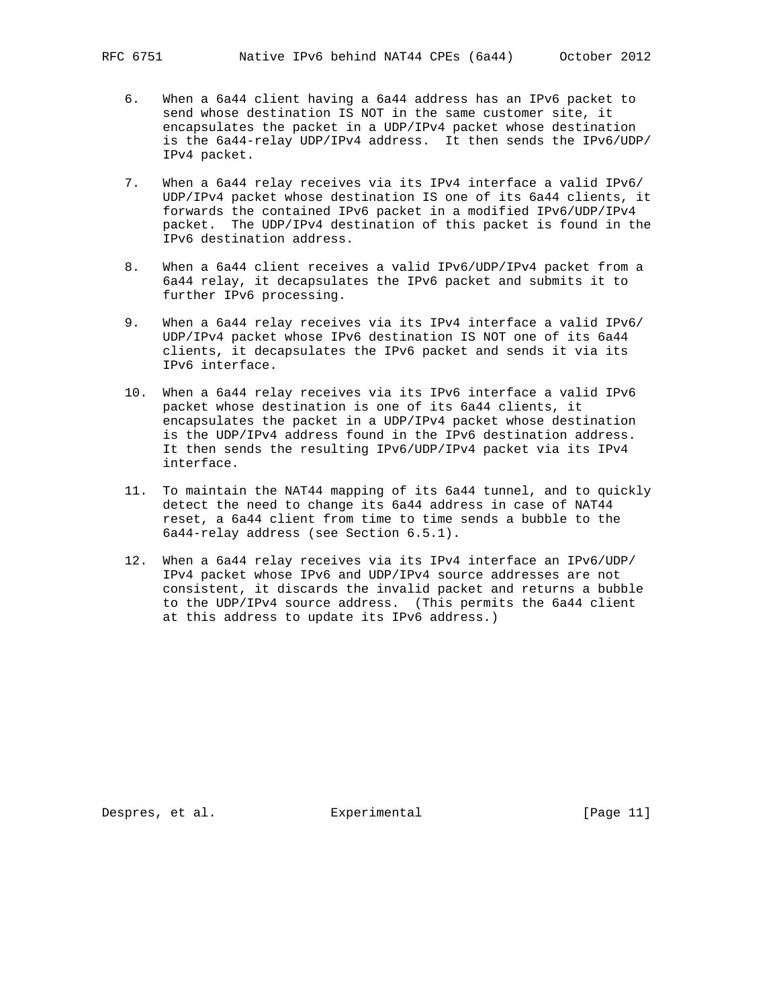- 6. When a 6a44 client having a 6a44 address has an IPv6 packet to send whose destination IS NOT in the same customer site, it encapsulates the packet in a UDP/IPv4 packet whose destination is the 6a44-relay UDP/IPv4 address. It then sends the IPv6/UDP/ IPv4 packet.
- 7. When a 6a44 relay receives via its IPv4 interface a valid IPv6/ UDP/IPv4 packet whose destination IS one of its 6a44 clients, it forwards the contained IPv6 packet in a modified IPv6/UDP/IPv4 packet. The UDP/IPv4 destination of this packet is found in the IPv6 destination address.
- 8. When a 6a44 client receives a valid IPv6/UDP/IPv4 packet from a 6a44 relay, it decapsulates the IPv6 packet and submits it to further IPv6 processing.
- 9. When a 6a44 relay receives via its IPv4 interface a valid IPv6/ UDP/IPv4 packet whose IPv6 destination IS NOT one of its 6a44 clients, it decapsulates the IPv6 packet and sends it via its IPv6 interface.
- 10. When a 6a44 relay receives via its IPv6 interface a valid IPv6 packet whose destination is one of its 6a44 clients, it encapsulates the packet in a UDP/IPv4 packet whose destination is the UDP/IPv4 address found in the IPv6 destination address. It then sends the resulting IPv6/UDP/IPv4 packet via its IPv4 interface.
- 11. To maintain the NAT44 mapping of its 6a44 tunnel, and to quickly detect the need to change its 6a44 address in case of NAT44 reset, a 6a44 client from time to time sends a bubble to the 6a44-relay address (see Section 6.5.1).
- 12. When a 6a44 relay receives via its IPv4 interface an IPv6/UDP/ IPv4 packet whose IPv6 and UDP/IPv4 source addresses are not consistent, it discards the invalid packet and returns a bubble to the UDP/IPv4 source address. (This permits the 6a44 client at this address to update its IPv6 address.)

Despres, et al. Experimental [Page 11]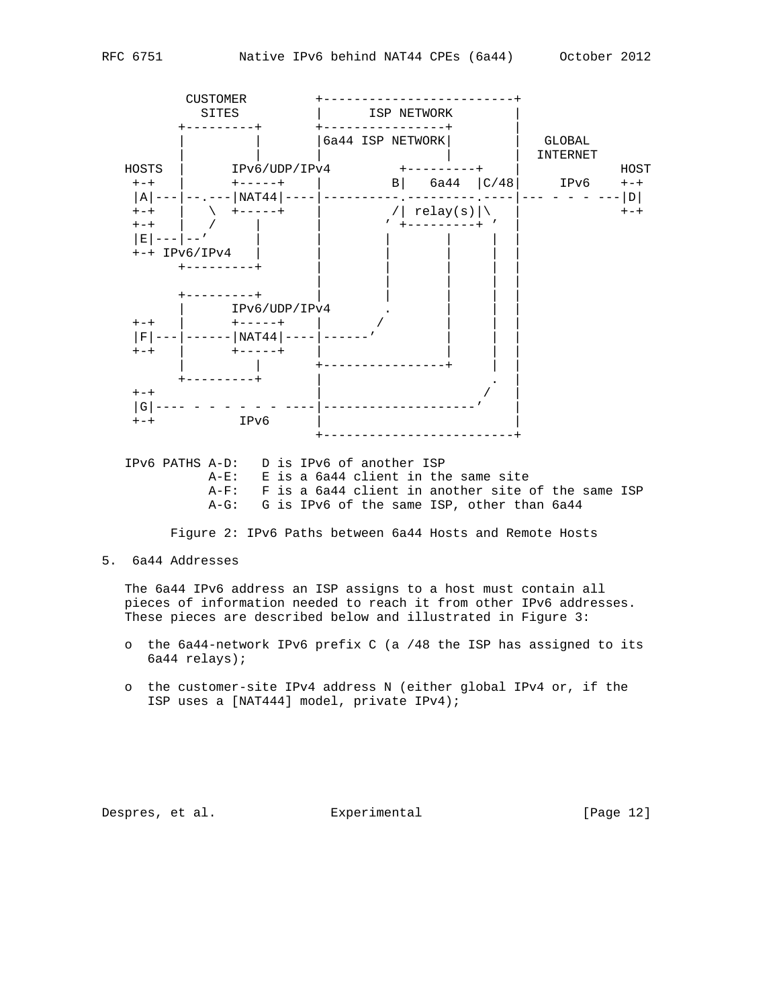

Despres, et al. Experimental [Page 12]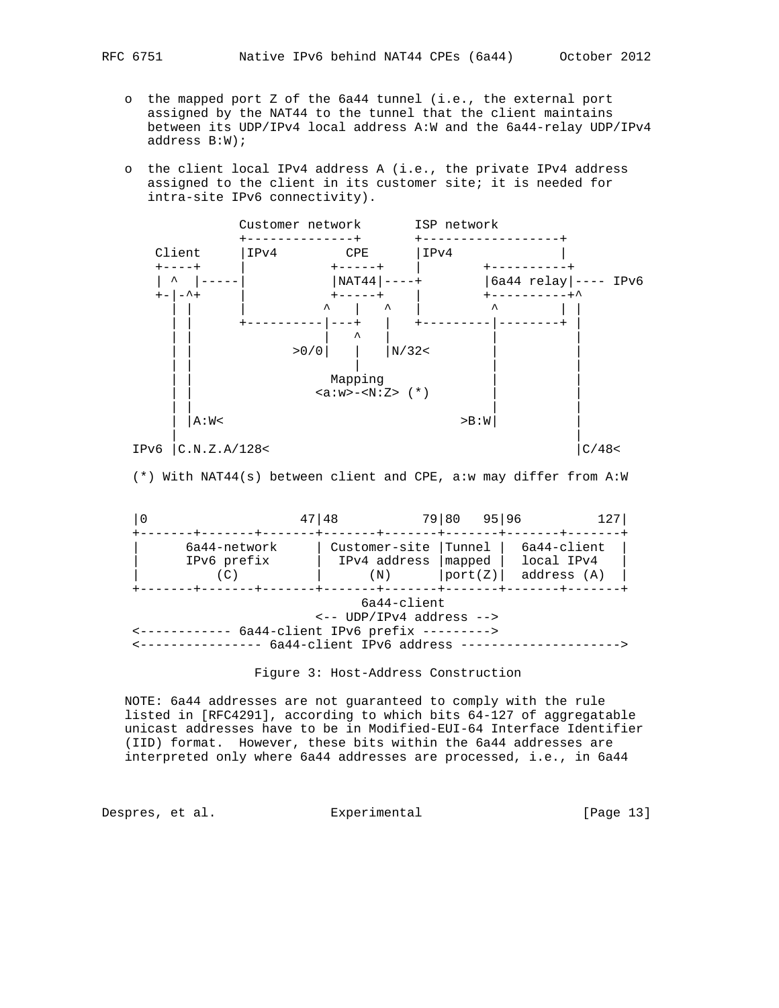- o the mapped port Z of the 6a44 tunnel (i.e., the external port assigned by the NAT44 to the tunnel that the client maintains between its UDP/IPv4 local address A:W and the 6a44-relay UDP/IPv4 address B:W);
- o the client local IPv4 address A (i.e., the private IPv4 address assigned to the client in its customer site; it is needed for intra-site IPv6 connectivity).



(\*) With NAT44(s) between client and CPE, a:w may differ from A:W

|                                                                                                                         | 48                                   | 79 80                                 | 95 96                                    |  |  |  |  |
|-------------------------------------------------------------------------------------------------------------------------|--------------------------------------|---------------------------------------|------------------------------------------|--|--|--|--|
| 6a44-network<br>IPv6 prefix                                                                                             | Customer-site<br>IPv4 address<br>(N) | Tunnel  <br>$ $ mapped $ $<br>port(Z) | 6a44-client<br>local IPv4<br>address (A) |  |  |  |  |
| $6a44$ -client<br>$\leftarrow$ - UDP/IPv4 address --><br>6a44-client IPv6 prefix ---------><br>6a44-client IPv6 address |                                      |                                       |                                          |  |  |  |  |

Figure 3: Host-Address Construction

 NOTE: 6a44 addresses are not guaranteed to comply with the rule listed in [RFC4291], according to which bits 64-127 of aggregatable unicast addresses have to be in Modified-EUI-64 Interface Identifier (IID) format. However, these bits within the 6a44 addresses are interpreted only where 6a44 addresses are processed, i.e., in 6a44

Despres, et al. Experimental [Page 13]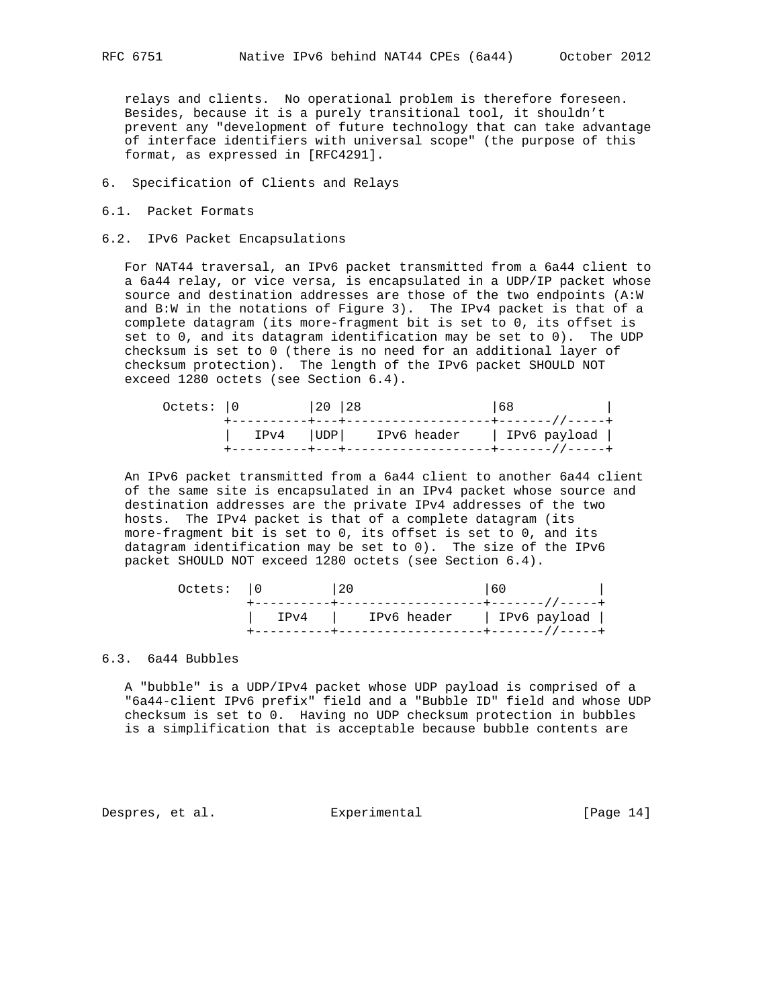relays and clients. No operational problem is therefore foreseen. Besides, because it is a purely transitional tool, it shouldn't prevent any "development of future technology that can take advantage of interface identifiers with universal scope" (the purpose of this format, as expressed in [RFC4291].

- 6. Specification of Clients and Relays
- 6.1. Packet Formats
- 6.2. IPv6 Packet Encapsulations

 For NAT44 traversal, an IPv6 packet transmitted from a 6a44 client to a 6a44 relay, or vice versa, is encapsulated in a UDP/IP packet whose source and destination addresses are those of the two endpoints (A:W and B:W in the notations of Figure 3). The IPv4 packet is that of a complete datagram (its more-fragment bit is set to 0, its offset is set to 0, and its datagram identification may be set to 0). The UDP checksum is set to 0 (there is no need for an additional layer of checksum protection). The length of the IPv6 packet SHOULD NOT exceed 1280 octets (see Section 6.4).

| Octets: 0 |  | 20  28 |                                                       | 68 |  |
|-----------|--|--------|-------------------------------------------------------|----|--|
|           |  |        | IPv4       UDP       IPv6 header         IPv6 payload |    |  |

 An IPv6 packet transmitted from a 6a44 client to another 6a44 client of the same site is encapsulated in an IPv4 packet whose source and destination addresses are the private IPv4 addresses of the two hosts. The IPv4 packet is that of a complete datagram (its more-fragment bit is set to 0, its offset is set to 0, and its datagram identification may be set to 0). The size of the IPv6 packet SHOULD NOT exceed 1280 octets (see Section 6.4).

| Octets: 10 | 20<br>the contract of the contract of the contract of the contract of the contract of | 60 |  |
|------------|---------------------------------------------------------------------------------------|----|--|
|            | IPv4   IPv6 header   IPv6 payload                                                     |    |  |

# 6.3. 6a44 Bubbles

 A "bubble" is a UDP/IPv4 packet whose UDP payload is comprised of a "6a44-client IPv6 prefix" field and a "Bubble ID" field and whose UDP checksum is set to 0. Having no UDP checksum protection in bubbles is a simplification that is acceptable because bubble contents are

Despres, et al. Experimental [Page 14]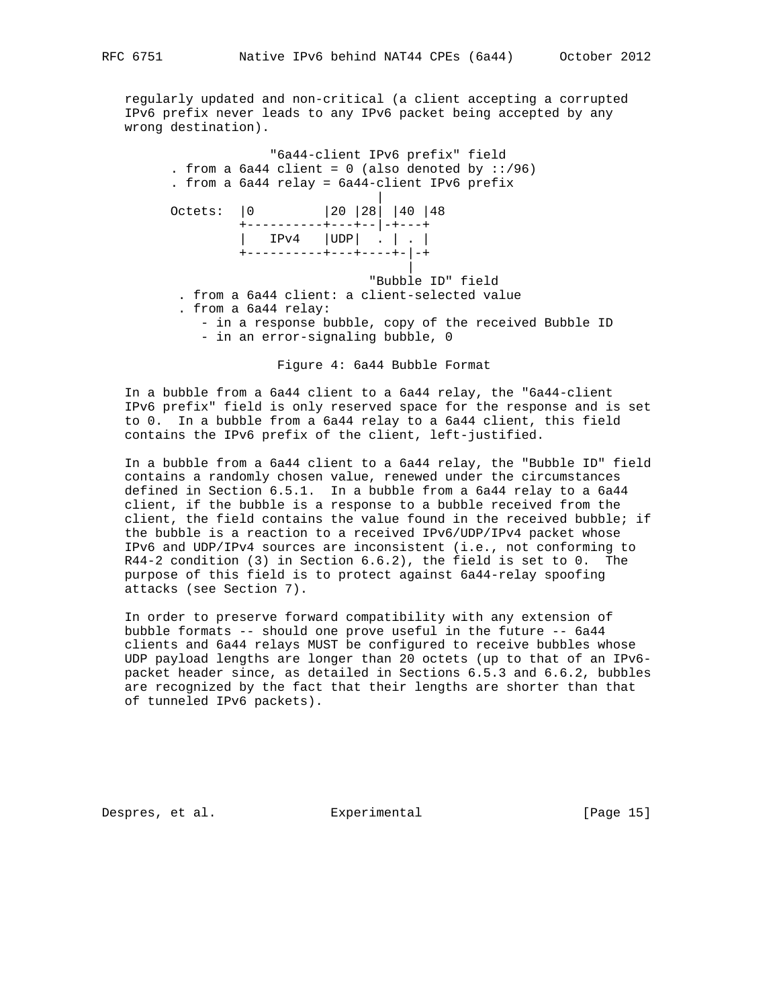regularly updated and non-critical (a client accepting a corrupted IPv6 prefix never leads to any IPv6 packet being accepted by any wrong destination).

 "6a44-client IPv6 prefix" field . from a  $6a44$  client = 0 (also denoted by  $::/96)$  . from a 6a44 relay = 6a44-client IPv6 prefix | Octets: |0 |20 |28| |40 |48 +----------+---+--|-+---+ | IPv4 |UDP| . | . | +----------+---+----+-|-+ | "Bubble ID" field . from a 6a44 client: a client-selected value . from a 6a44 relay: - in a response bubble, copy of the received Bubble ID - in an error-signaling bubble, 0

Figure 4: 6a44 Bubble Format

 In a bubble from a 6a44 client to a 6a44 relay, the "6a44-client IPv6 prefix" field is only reserved space for the response and is set to 0. In a bubble from a 6a44 relay to a 6a44 client, this field contains the IPv6 prefix of the client, left-justified.

 In a bubble from a 6a44 client to a 6a44 relay, the "Bubble ID" field contains a randomly chosen value, renewed under the circumstances defined in Section 6.5.1. In a bubble from a 6a44 relay to a 6a44 client, if the bubble is a response to a bubble received from the client, the field contains the value found in the received bubble; if the bubble is a reaction to a received IPv6/UDP/IPv4 packet whose IPv6 and UDP/IPv4 sources are inconsistent (i.e., not conforming to R44-2 condition (3) in Section 6.6.2), the field is set to 0. The purpose of this field is to protect against 6a44-relay spoofing attacks (see Section 7).

 In order to preserve forward compatibility with any extension of bubble formats -- should one prove useful in the future -- 6a44 clients and 6a44 relays MUST be configured to receive bubbles whose UDP payload lengths are longer than 20 octets (up to that of an IPv6 packet header since, as detailed in Sections 6.5.3 and 6.6.2, bubbles are recognized by the fact that their lengths are shorter than that of tunneled IPv6 packets).

Despres, et al. Experimental [Page 15]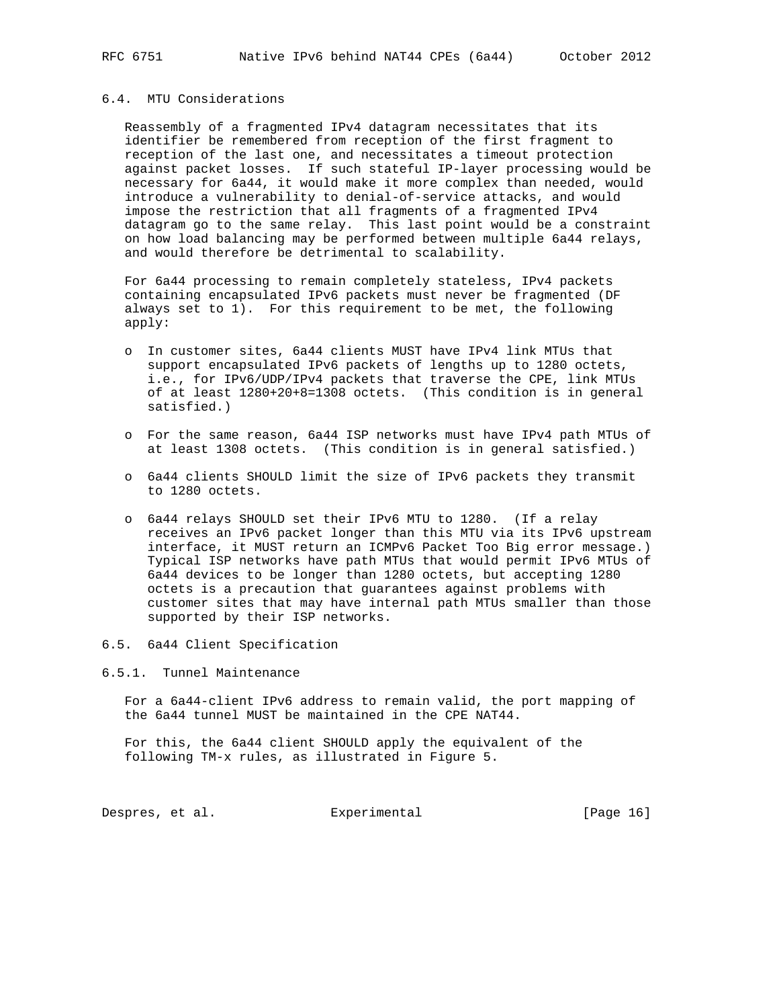## 6.4. MTU Considerations

 Reassembly of a fragmented IPv4 datagram necessitates that its identifier be remembered from reception of the first fragment to reception of the last one, and necessitates a timeout protection against packet losses. If such stateful IP-layer processing would be necessary for 6a44, it would make it more complex than needed, would introduce a vulnerability to denial-of-service attacks, and would impose the restriction that all fragments of a fragmented IPv4 datagram go to the same relay. This last point would be a constraint on how load balancing may be performed between multiple 6a44 relays, and would therefore be detrimental to scalability.

 For 6a44 processing to remain completely stateless, IPv4 packets containing encapsulated IPv6 packets must never be fragmented (DF always set to 1). For this requirement to be met, the following apply:

- o In customer sites, 6a44 clients MUST have IPv4 link MTUs that support encapsulated IPv6 packets of lengths up to 1280 octets, i.e., for IPv6/UDP/IPv4 packets that traverse the CPE, link MTUs of at least 1280+20+8=1308 octets. (This condition is in general satisfied.)
- o For the same reason, 6a44 ISP networks must have IPv4 path MTUs of at least 1308 octets. (This condition is in general satisfied.)
- o 6a44 clients SHOULD limit the size of IPv6 packets they transmit to 1280 octets.
- o 6a44 relays SHOULD set their IPv6 MTU to 1280. (If a relay receives an IPv6 packet longer than this MTU via its IPv6 upstream interface, it MUST return an ICMPv6 Packet Too Big error message.) Typical ISP networks have path MTUs that would permit IPv6 MTUs of 6a44 devices to be longer than 1280 octets, but accepting 1280 octets is a precaution that guarantees against problems with customer sites that may have internal path MTUs smaller than those supported by their ISP networks.
- 6.5. 6a44 Client Specification
- 6.5.1. Tunnel Maintenance

 For a 6a44-client IPv6 address to remain valid, the port mapping of the 6a44 tunnel MUST be maintained in the CPE NAT44.

 For this, the 6a44 client SHOULD apply the equivalent of the following TM-x rules, as illustrated in Figure 5.

Despres, et al. Experimental Experimental [Page 16]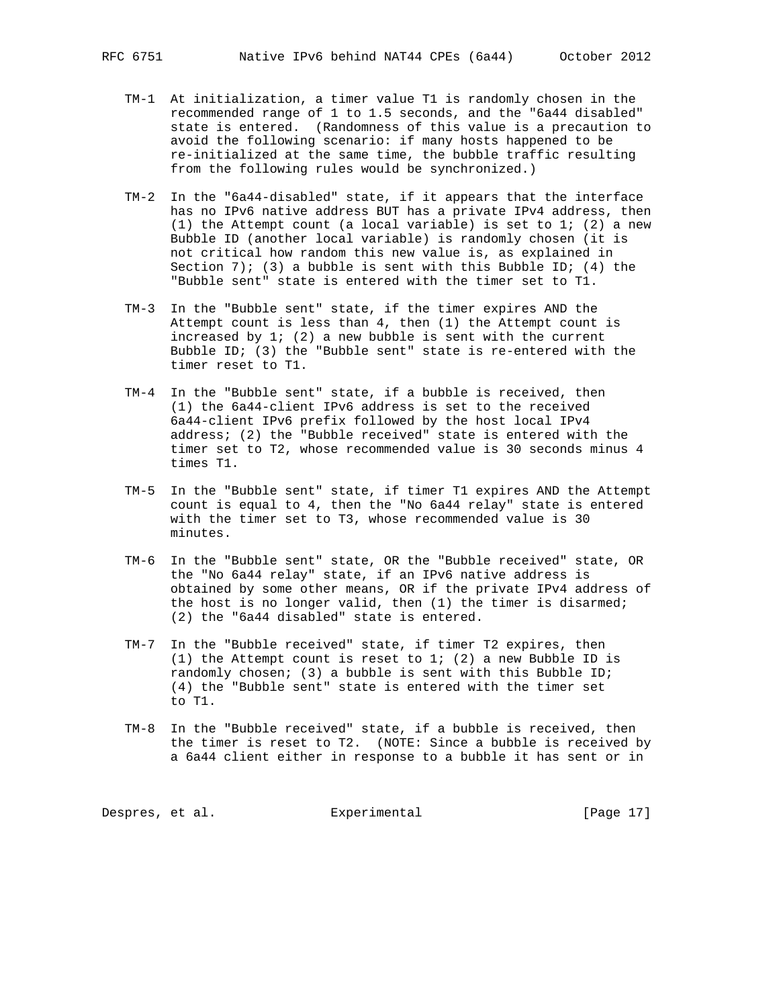- TM-1 At initialization, a timer value T1 is randomly chosen in the recommended range of 1 to 1.5 seconds, and the "6a44 disabled" state is entered. (Randomness of this value is a precaution to avoid the following scenario: if many hosts happened to be re-initialized at the same time, the bubble traffic resulting from the following rules would be synchronized.)
- TM-2 In the "6a44-disabled" state, if it appears that the interface has no IPv6 native address BUT has a private IPv4 address, then (1) the Attempt count (a local variable) is set to  $1$ ; (2) a new Bubble ID (another local variable) is randomly chosen (it is not critical how random this new value is, as explained in Section 7); (3) a bubble is sent with this Bubble ID; (4) the "Bubble sent" state is entered with the timer set to T1.
- TM-3 In the "Bubble sent" state, if the timer expires AND the Attempt count is less than 4, then (1) the Attempt count is increased by 1; (2) a new bubble is sent with the current Bubble ID; (3) the "Bubble sent" state is re-entered with the timer reset to T1.
- TM-4 In the "Bubble sent" state, if a bubble is received, then (1) the 6a44-client IPv6 address is set to the received 6a44-client IPv6 prefix followed by the host local IPv4 address; (2) the "Bubble received" state is entered with the timer set to T2, whose recommended value is 30 seconds minus 4 times T1.
- TM-5 In the "Bubble sent" state, if timer T1 expires AND the Attempt count is equal to 4, then the "No 6a44 relay" state is entered with the timer set to T3, whose recommended value is 30 minutes.
- TM-6 In the "Bubble sent" state, OR the "Bubble received" state, OR the "No 6a44 relay" state, if an IPv6 native address is obtained by some other means, OR if the private IPv4 address of the host is no longer valid, then (1) the timer is disarmed; (2) the "6a44 disabled" state is entered.
- TM-7 In the "Bubble received" state, if timer T2 expires, then (1) the Attempt count is reset to 1; (2) a new Bubble ID is randomly chosen; (3) a bubble is sent with this Bubble ID; (4) the "Bubble sent" state is entered with the timer set to T1.
- TM-8 In the "Bubble received" state, if a bubble is received, then the timer is reset to T2. (NOTE: Since a bubble is received by a 6a44 client either in response to a bubble it has sent or in

Despres, et al. Experimental [Page 17]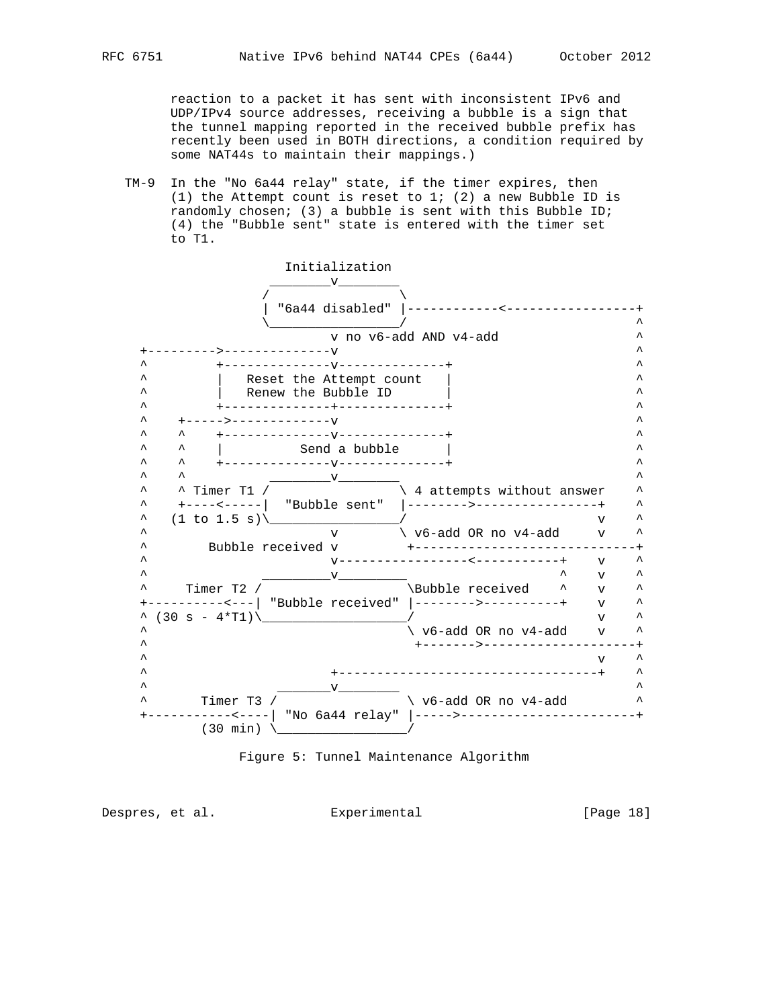reaction to a packet it has sent with inconsistent IPv6 and UDP/IPv4 source addresses, receiving a bubble is a sign that the tunnel mapping reported in the received bubble prefix has recently been used in BOTH directions, a condition required by some NAT44s to maintain their mappings.)

 TM-9 In the "No 6a44 relay" state, if the timer expires, then (1) the Attempt count is reset to  $1$ ; (2) a new Bubble ID is randomly chosen; (3) a bubble is sent with this Bubble ID; (4) the "Bubble sent" state is entered with the timer set to T1.





Despres, et al. Experimental [Page 18]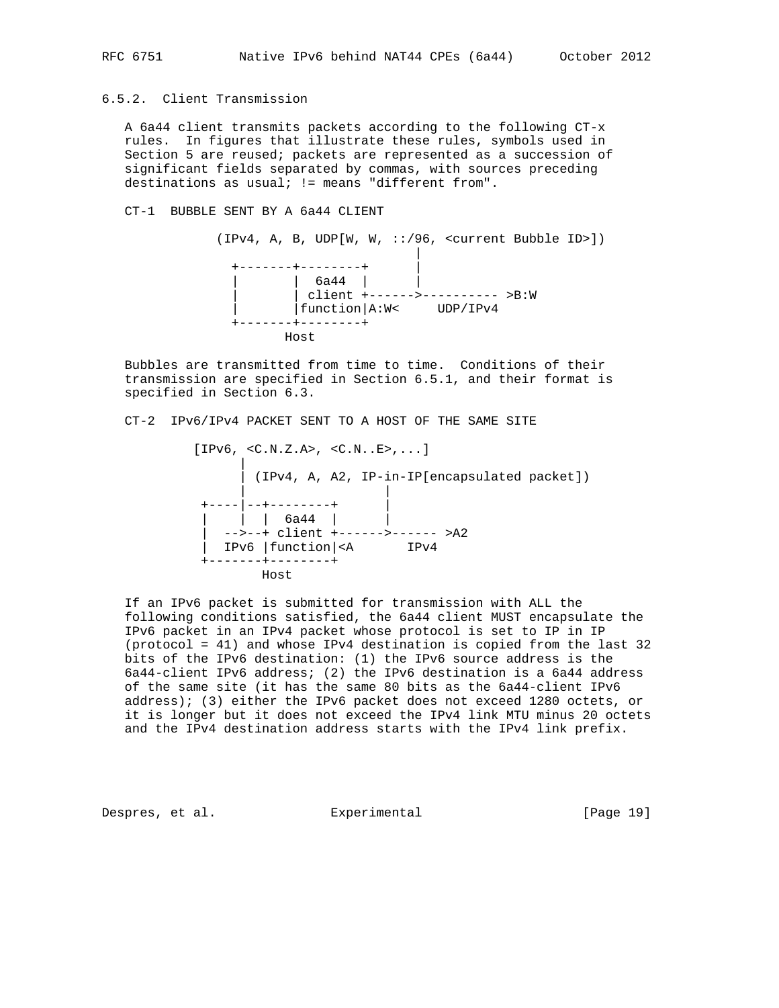# 6.5.2. Client Transmission

 A 6a44 client transmits packets according to the following CT-x rules. In figures that illustrate these rules, symbols used in Section 5 are reused; packets are represented as a succession of significant fields separated by commas, with sources preceding destinations as usual; != means "different from".

#### CT-1 BUBBLE SENT BY A 6a44 CLIENT

 (IPv4, A, B, UDP[W, W, ::/96, <current Bubble ID>]) | +-------+--------+ | | | 6a44 | | | | client +------>---------- >B:W | |function|A:W< UDP/IPv4 +-------+--------+ Host

 Bubbles are transmitted from time to time. Conditions of their transmission are specified in Section 6.5.1, and their format is specified in Section 6.3.

CT-2 IPv6/IPv4 PACKET SENT TO A HOST OF THE SAME SITE

 [IPv6, <C.N.Z.A>, <C.N..E>,...] | | (IPv4, A, A2, IP-in-IP[encapsulated packet]) | | +----|--+--------+ | | | | 6a44 | | | -->--+ client +------>------ >A2 | IPv6 |function|<A IPv4 +-------+--------+ Host

 If an IPv6 packet is submitted for transmission with ALL the following conditions satisfied, the 6a44 client MUST encapsulate the IPv6 packet in an IPv4 packet whose protocol is set to IP in IP (protocol = 41) and whose IPv4 destination is copied from the last 32 bits of the IPv6 destination: (1) the IPv6 source address is the 6a44-client IPv6 address; (2) the IPv6 destination is a 6a44 address of the same site (it has the same 80 bits as the 6a44-client IPv6 address); (3) either the IPv6 packet does not exceed 1280 octets, or it is longer but it does not exceed the IPv4 link MTU minus 20 octets and the IPv4 destination address starts with the IPv4 link prefix.

Despres, et al. Experimental [Page 19]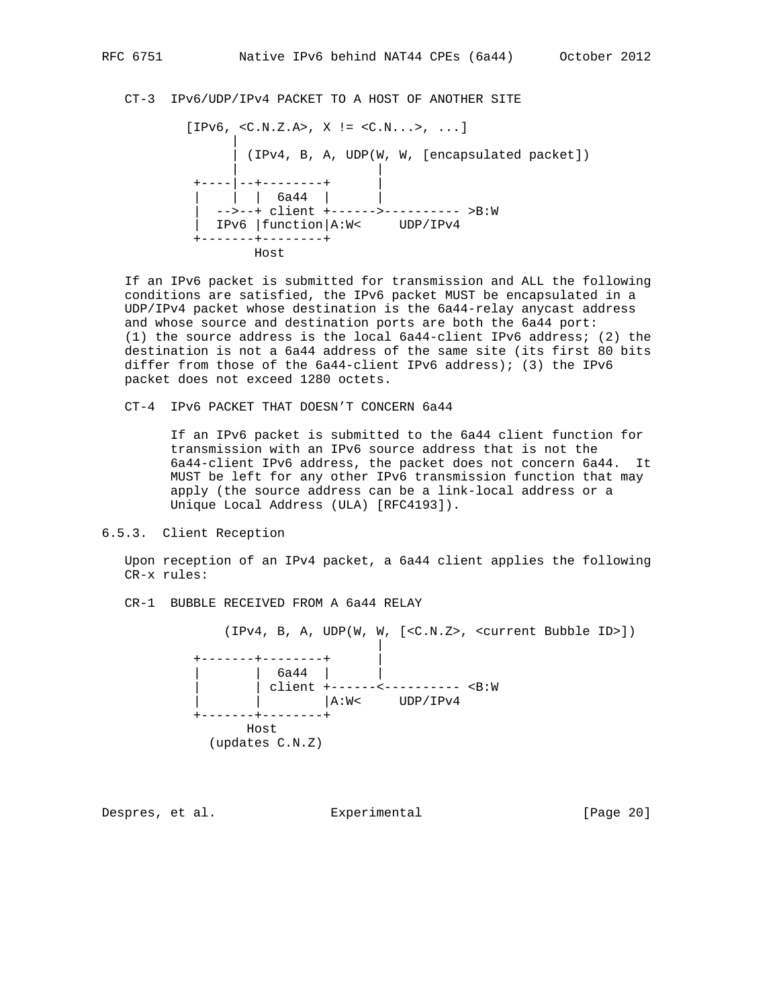CT-3 IPv6/UDP/IPv4 PACKET TO A HOST OF ANOTHER SITE

 $[IPv6, \langle C.N.Z.A \rangle, X := \langle C.N. . . \rangle, ...]$ 

 | | (IPv4, B, A, UDP(W, W, [encapsulated packet]) | | +----|--+--------+ | | | | 6a44 | | | -->--+ client +------>---------- >B:W | IPv6 |function|A:W< UDP/IPv4 +-------+--------+ Host

 If an IPv6 packet is submitted for transmission and ALL the following conditions are satisfied, the IPv6 packet MUST be encapsulated in a UDP/IPv4 packet whose destination is the 6a44-relay anycast address and whose source and destination ports are both the 6a44 port: (1) the source address is the local 6a44-client IPv6 address; (2) the destination is not a 6a44 address of the same site (its first 80 bits differ from those of the 6a44-client IPv6 address); (3) the IPv6 packet does not exceed 1280 octets.

CT-4 IPv6 PACKET THAT DOESN'T CONCERN 6a44

 If an IPv6 packet is submitted to the 6a44 client function for transmission with an IPv6 source address that is not the 6a44-client IPv6 address, the packet does not concern 6a44. It MUST be left for any other IPv6 transmission function that may apply (the source address can be a link-local address or a Unique Local Address (ULA) [RFC4193]).

6.5.3. Client Reception

 Upon reception of an IPv4 packet, a 6a44 client applies the following CR-x rules:

CR-1 BUBBLE RECEIVED FROM A 6a44 RELAY

(IPv4, B, A, UDP(W, W, [<C.N.Z>, <current Bubble ID>])

 | +-------+--------+ |  $|$  6a44 |  $|$ | | client +------<----------- <B:W | | |A:W< UDP/IPv4 ---+--------+ Host (updates C.N.Z)

Despres, et al. Experimental [Page 20]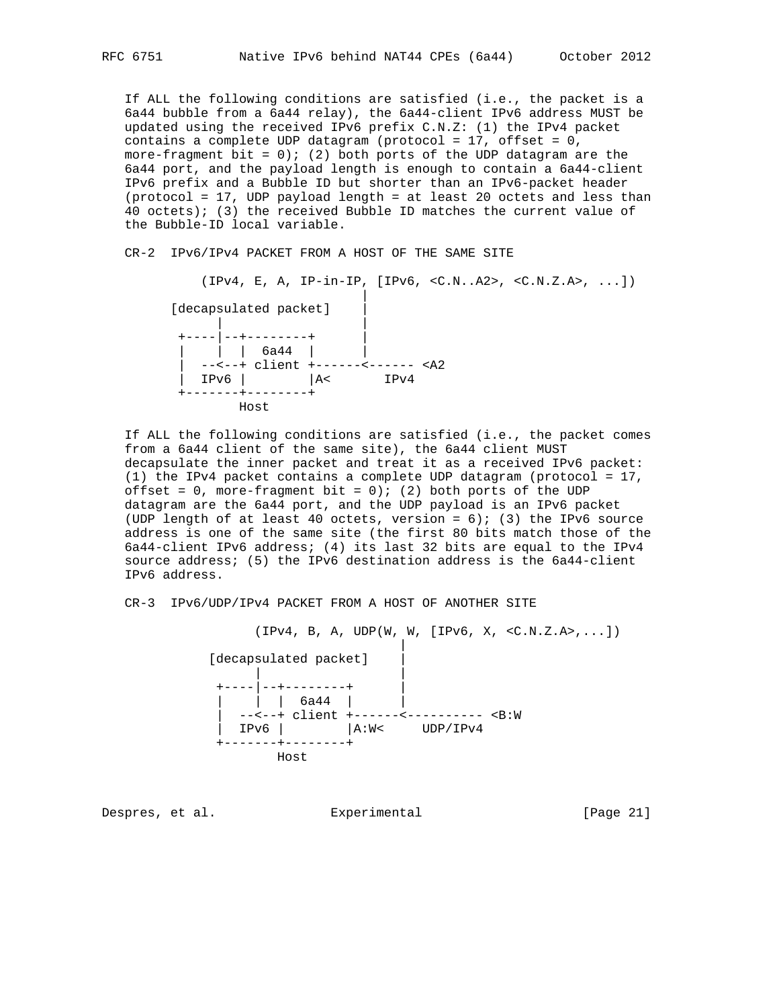If ALL the following conditions are satisfied (i.e., the packet is a 6a44 bubble from a 6a44 relay), the 6a44-client IPv6 address MUST be updated using the received IPv6 prefix C.N.Z: (1) the IPv4 packet contains a complete UDP datagram (protocol = 17, offset = 0, more-fragment bit =  $0$ ; (2) both ports of the UDP datagram are the 6a44 port, and the payload length is enough to contain a 6a44-client IPv6 prefix and a Bubble ID but shorter than an IPv6-packet header (protocol = 17, UDP payload length = at least 20 octets and less than 40 octets); (3) the received Bubble ID matches the current value of the Bubble-ID local variable.

CR-2 IPv6/IPv4 PACKET FROM A HOST OF THE SAME SITE

 $(IPv4, E, A, IP-in-IP, [IPv6, , , ...])$  | [decapsulated packet] | | | +----|--+--------+ |  $|$  | 6a44 | | | --<--+ client +------<------ <A2  $|$  IPv6  $|$   $|$ A< IPv4 +-------+--------+ Host

 If ALL the following conditions are satisfied (i.e., the packet comes from a 6a44 client of the same site), the 6a44 client MUST decapsulate the inner packet and treat it as a received IPv6 packet: (1) the IPv4 packet contains a complete UDP datagram (protocol = 17, offset =  $0$ , more-fragment bit =  $0$ ); (2) both ports of the UDP datagram are the 6a44 port, and the UDP payload is an IPv6 packet (UDP length of at least 40 octets, version =  $6$ ); (3) the IPv6 source address is one of the same site (the first 80 bits match those of the 6a44-client IPv6 address; (4) its last 32 bits are equal to the IPv4 source address; (5) the IPv6 destination address is the 6a44-client IPv6 address.

CR-3 IPv6/UDP/IPv4 PACKET FROM A HOST OF ANOTHER SITE

 $(IPV4, B, A, UDP(W, W, [IPv6, X, , ...])$ 

 | [decapsulated packet] | | | +----|--+--------+ | | | | 6a44 | | | --<--+ client +------<---------- <B:W | IPv6 | |A:W< UDP/IPv4 +-------+--------+ Host

Despres, et al. Experimental [Page 21]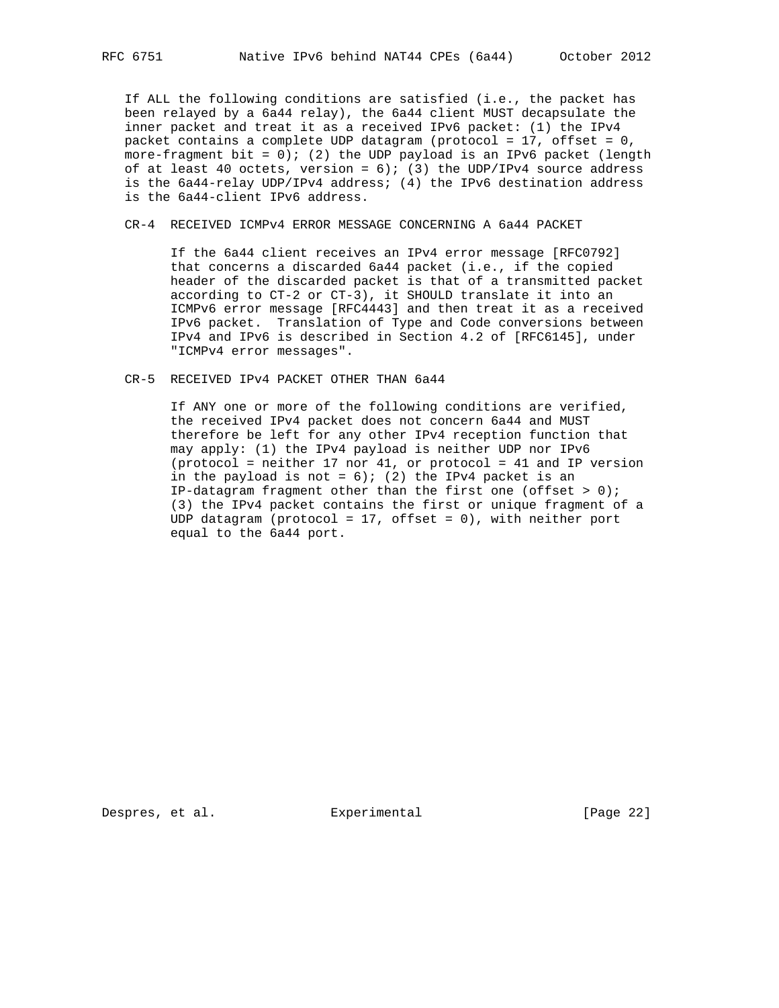If ALL the following conditions are satisfied (i.e., the packet has been relayed by a 6a44 relay), the 6a44 client MUST decapsulate the inner packet and treat it as a received IPv6 packet: (1) the IPv4 packet contains a complete UDP datagram (protocol = 17, offset = 0, more-fragment bit =  $0$ ); (2) the UDP payload is an IPv6 packet (length of at least 40 octets, version =  $6$ ); (3) the UDP/IPv4 source address is the 6a44-relay UDP/IPv4 address; (4) the IPv6 destination address is the 6a44-client IPv6 address.

# CR-4 RECEIVED ICMPv4 ERROR MESSAGE CONCERNING A 6a44 PACKET

 If the 6a44 client receives an IPv4 error message [RFC0792] that concerns a discarded 6a44 packet (i.e., if the copied header of the discarded packet is that of a transmitted packet according to CT-2 or CT-3), it SHOULD translate it into an ICMPv6 error message [RFC4443] and then treat it as a received IPv6 packet. Translation of Type and Code conversions between IPv4 and IPv6 is described in Section 4.2 of [RFC6145], under "ICMPv4 error messages".

CR-5 RECEIVED IPv4 PACKET OTHER THAN 6a44

 If ANY one or more of the following conditions are verified, the received IPv4 packet does not concern 6a44 and MUST therefore be left for any other IPv4 reception function that may apply: (1) the IPv4 payload is neither UDP nor IPv6 (protocol = neither 17 nor 41, or protocol = 41 and IP version in the payload is not =  $6$ ); (2) the IPv4 packet is an IP-datagram fragment other than the first one (offset  $> 0$ ); (3) the IPv4 packet contains the first or unique fragment of a UDP datagram (protocol = 17, offset = 0), with neither port equal to the 6a44 port.

Despres, et al. Experimental [Page 22]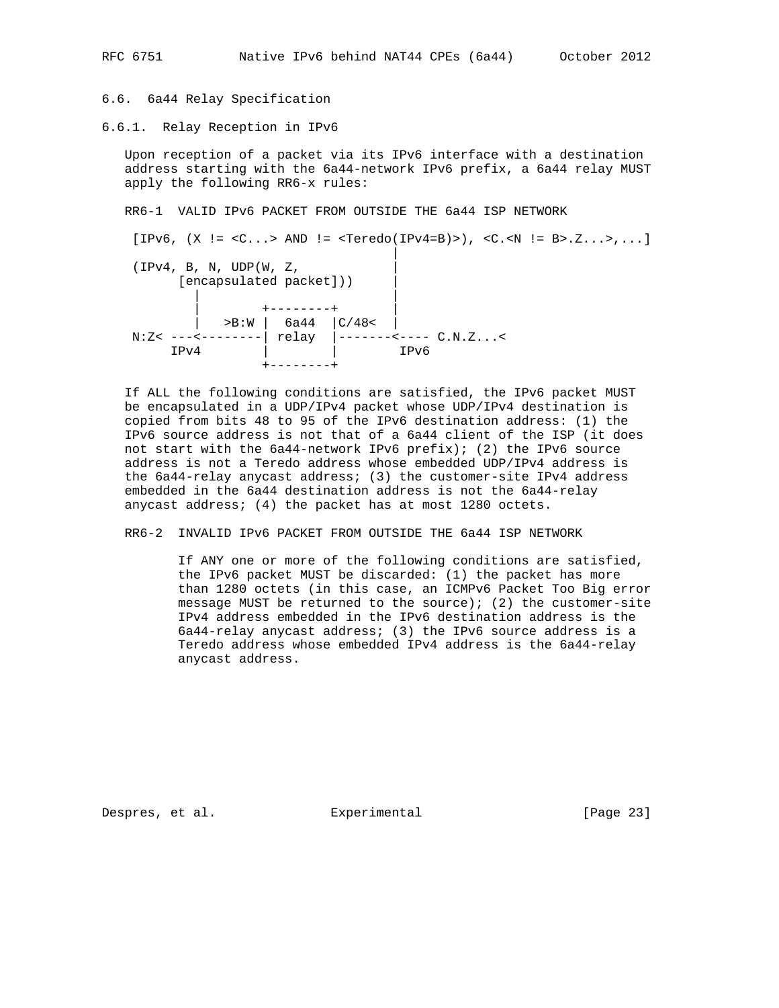## 6.6. 6a44 Relay Specification

6.6.1. Relay Reception in IPv6

 Upon reception of a packet via its IPv6 interface with a destination address starting with the 6a44-network IPv6 prefix, a 6a44 relay MUST apply the following RR6-x rules:

RR6-1 VALID IPv6 PACKET FROM OUTSIDE THE 6a44 ISP NETWORK

 $[IPv6, (X !=  AND != )$ , < $C.-N != B>.Z...$ ,...] |  $(IPv4, B, N, UDP(W, Z,$  [encapsulated packet])) | | | | +--------+ |  $|$  >B:W | 6a44 |C/48< | N:Z< ---<--------| relay |-------<---- C.N.Z...<<br>
IPv4 |  $IPv4$  | +--------+

 If ALL the following conditions are satisfied, the IPv6 packet MUST be encapsulated in a UDP/IPv4 packet whose UDP/IPv4 destination is copied from bits 48 to 95 of the IPv6 destination address: (1) the IPv6 source address is not that of a 6a44 client of the ISP (it does not start with the 6a44-network IPv6 prefix); (2) the IPv6 source address is not a Teredo address whose embedded UDP/IPv4 address is the 6a44-relay anycast address; (3) the customer-site IPv4 address embedded in the 6a44 destination address is not the 6a44-relay anycast address; (4) the packet has at most 1280 octets.

RR6-2 INVALID IPv6 PACKET FROM OUTSIDE THE 6a44 ISP NETWORK

 If ANY one or more of the following conditions are satisfied, the IPv6 packet MUST be discarded: (1) the packet has more than 1280 octets (in this case, an ICMPv6 Packet Too Big error message MUST be returned to the source); (2) the customer-site IPv4 address embedded in the IPv6 destination address is the 6a44-relay anycast address; (3) the IPv6 source address is a Teredo address whose embedded IPv4 address is the 6a44-relay anycast address.

Despres, et al. Experimental [Page 23]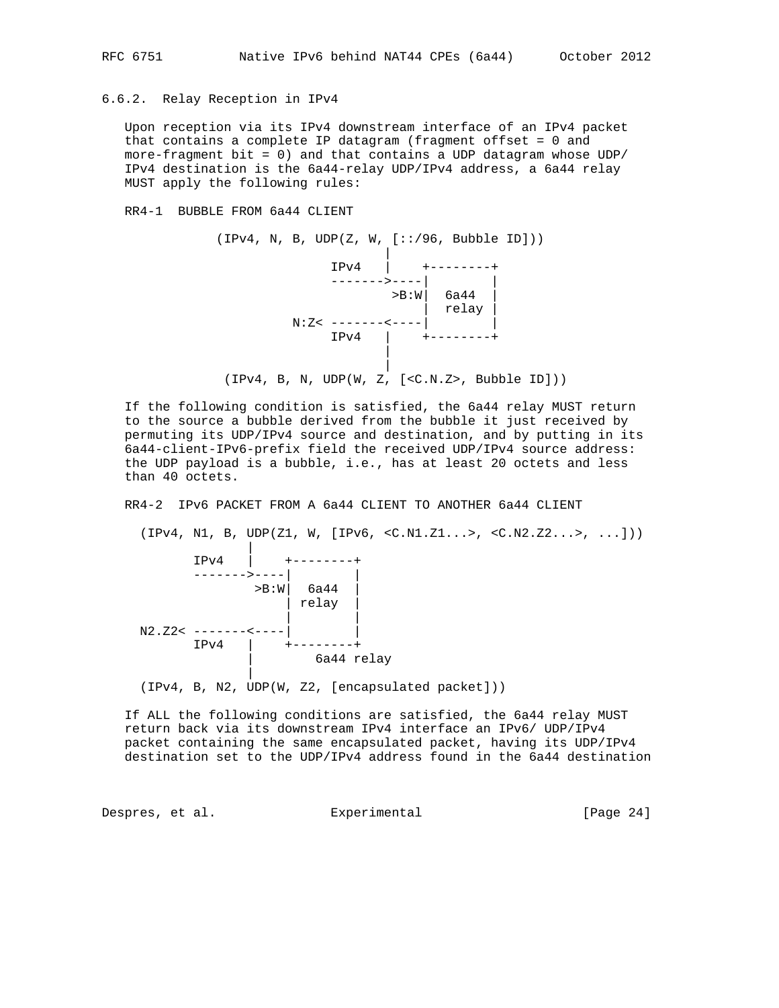## 6.6.2. Relay Reception in IPv4

 Upon reception via its IPv4 downstream interface of an IPv4 packet that contains a complete IP datagram (fragment offset = 0 and more-fragment bit = 0) and that contains a UDP datagram whose UDP/ IPv4 destination is the 6a44-relay UDP/IPv4 address, a 6a44 relay MUST apply the following rules:

#### RR4-1 BUBBLE FROM 6a44 CLIENT



 If the following condition is satisfied, the 6a44 relay MUST return to the source a bubble derived from the bubble it just received by permuting its UDP/IPv4 source and destination, and by putting in its 6a44-client-IPv6-prefix field the received UDP/IPv4 source address: the UDP payload is a bubble, i.e., has at least 20 octets and less than 40 octets.

RR4-2 IPv6 PACKET FROM A 6a44 CLIENT TO ANOTHER 6a44 CLIENT

 $(IPV4, N1, B, UDP(Z1, W, [IPv6, *CC.N1.Z1...>*, *CC.N2.Z2...>*, ...]))$  | IPv4 | +--------+ ------->----| |  $>$ B:W $|$  6a44  $|$  | relay | | |  $N2.22< --------- IPv4$  |  $+-----++$  | 6a44 relay | (IPv4, B, N2, UDP(W, Z2, [encapsulated packet]))

 If ALL the following conditions are satisfied, the 6a44 relay MUST return back via its downstream IPv4 interface an IPv6/ UDP/IPv4 packet containing the same encapsulated packet, having its UDP/IPv4 destination set to the UDP/IPv4 address found in the 6a44 destination

Despres, et al. Experimental Experimental [Page 24]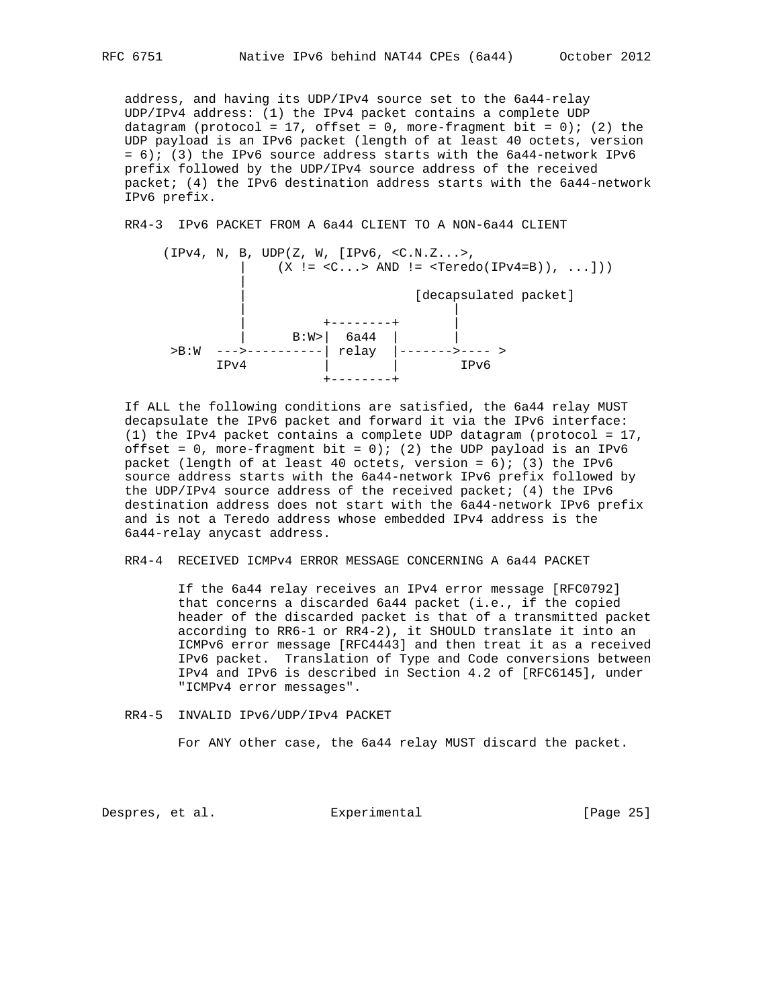address, and having its UDP/IPv4 source set to the 6a44-relay UDP/IPv4 address: (1) the IPv4 packet contains a complete UDP datagram (protocol = 17, offset = 0, more-fragment bit = 0); (2) the UDP payload is an IPv6 packet (length of at least 40 octets, version  $= 6$ ); (3) the IPv6 source address starts with the 6a44-network IPv6 prefix followed by the UDP/IPv4 source address of the received packet; (4) the IPv6 destination address starts with the 6a44-network IPv6 prefix.

RR4-3 IPv6 PACKET FROM A 6a44 CLIENT TO A NON-6a44 CLIENT



 If ALL the following conditions are satisfied, the 6a44 relay MUST decapsulate the IPv6 packet and forward it via the IPv6 interface: (1) the IPv4 packet contains a complete UDP datagram (protocol = 17, offset =  $0$ , more-fragment bit =  $0$ ); (2) the UDP payload is an IPv6 packet (length of at least 40 octets, version =  $6$ ); (3) the IPv6 source address starts with the 6a44-network IPv6 prefix followed by the UDP/IPv4 source address of the received packet; (4) the IPv6 destination address does not start with the 6a44-network IPv6 prefix and is not a Teredo address whose embedded IPv4 address is the 6a44-relay anycast address.

RR4-4 RECEIVED ICMPv4 ERROR MESSAGE CONCERNING A 6a44 PACKET

 If the 6a44 relay receives an IPv4 error message [RFC0792] that concerns a discarded 6a44 packet (i.e., if the copied header of the discarded packet is that of a transmitted packet according to RR6-1 or RR4-2), it SHOULD translate it into an ICMPv6 error message [RFC4443] and then treat it as a received IPv6 packet. Translation of Type and Code conversions between IPv4 and IPv6 is described in Section 4.2 of [RFC6145], under "ICMPv4 error messages".

RR4-5 INVALID IPv6/UDP/IPv4 PACKET

For ANY other case, the 6a44 relay MUST discard the packet.

Despres, et al. Experimental [Page 25]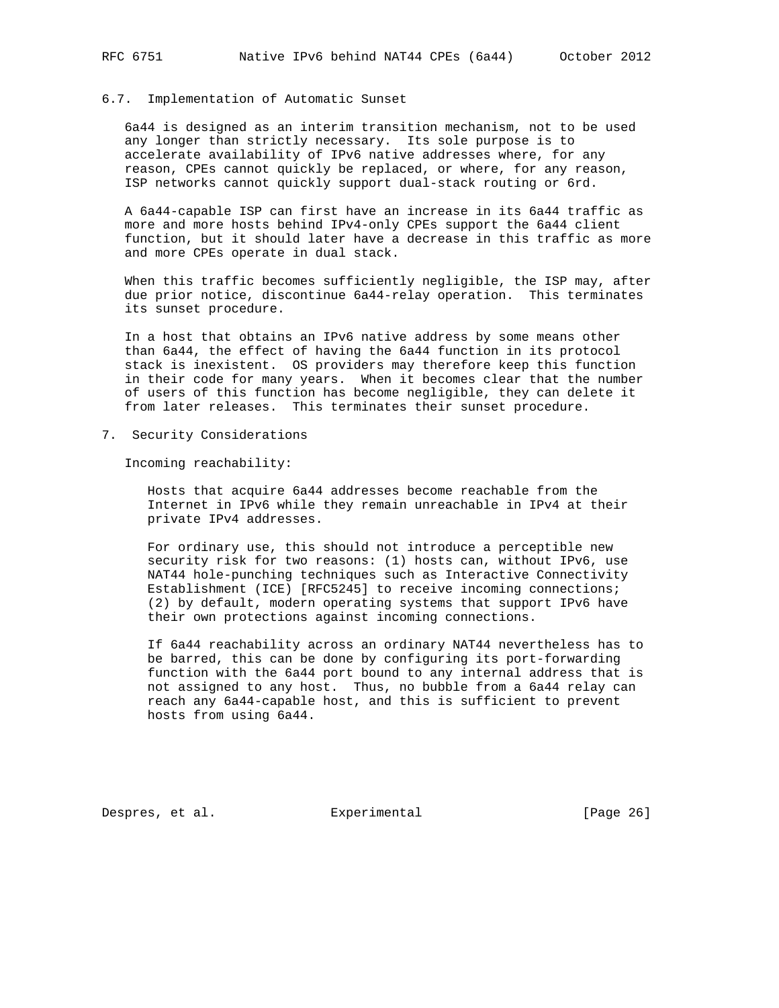#### 6.7. Implementation of Automatic Sunset

 6a44 is designed as an interim transition mechanism, not to be used any longer than strictly necessary. Its sole purpose is to accelerate availability of IPv6 native addresses where, for any reason, CPEs cannot quickly be replaced, or where, for any reason, ISP networks cannot quickly support dual-stack routing or 6rd.

 A 6a44-capable ISP can first have an increase in its 6a44 traffic as more and more hosts behind IPv4-only CPEs support the 6a44 client function, but it should later have a decrease in this traffic as more and more CPEs operate in dual stack.

 When this traffic becomes sufficiently negligible, the ISP may, after due prior notice, discontinue 6a44-relay operation. This terminates its sunset procedure.

 In a host that obtains an IPv6 native address by some means other than 6a44, the effect of having the 6a44 function in its protocol stack is inexistent. OS providers may therefore keep this function in their code for many years. When it becomes clear that the number of users of this function has become negligible, they can delete it from later releases. This terminates their sunset procedure.

7. Security Considerations

Incoming reachability:

 Hosts that acquire 6a44 addresses become reachable from the Internet in IPv6 while they remain unreachable in IPv4 at their private IPv4 addresses.

 For ordinary use, this should not introduce a perceptible new security risk for two reasons: (1) hosts can, without IPv6, use NAT44 hole-punching techniques such as Interactive Connectivity Establishment (ICE) [RFC5245] to receive incoming connections; (2) by default, modern operating systems that support IPv6 have their own protections against incoming connections.

 If 6a44 reachability across an ordinary NAT44 nevertheless has to be barred, this can be done by configuring its port-forwarding function with the 6a44 port bound to any internal address that is not assigned to any host. Thus, no bubble from a 6a44 relay can reach any 6a44-capable host, and this is sufficient to prevent hosts from using 6a44.

Despres, et al. Experimental [Page 26]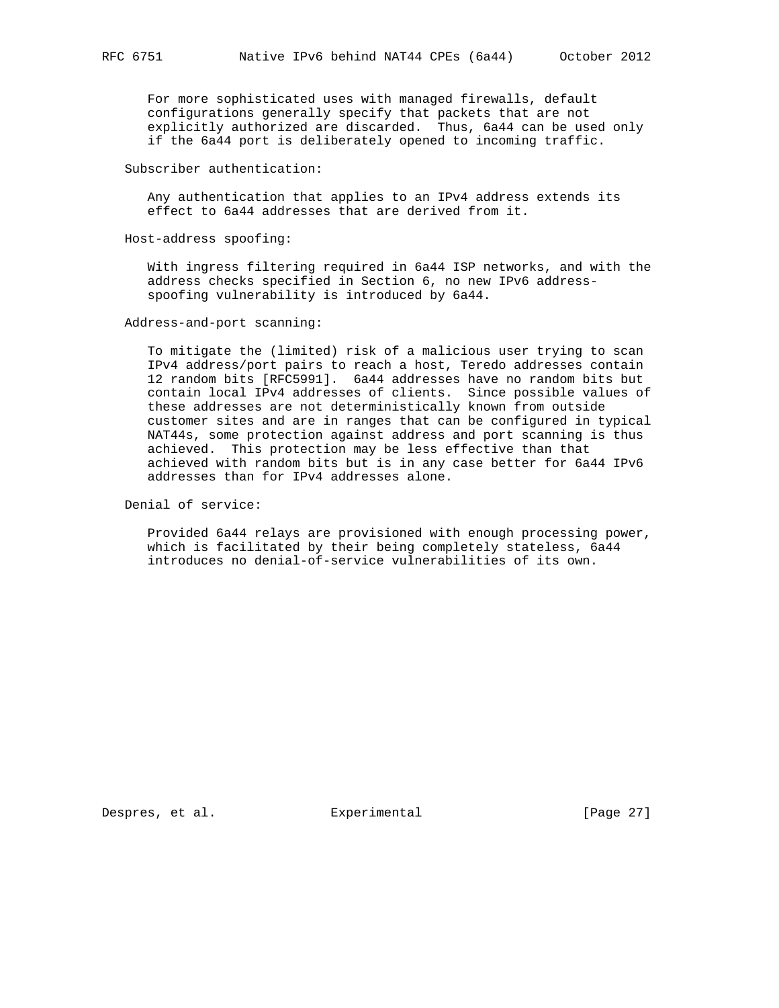For more sophisticated uses with managed firewalls, default configurations generally specify that packets that are not explicitly authorized are discarded. Thus, 6a44 can be used only if the 6a44 port is deliberately opened to incoming traffic.

#### Subscriber authentication:

 Any authentication that applies to an IPv4 address extends its effect to 6a44 addresses that are derived from it.

Host-address spoofing:

 With ingress filtering required in 6a44 ISP networks, and with the address checks specified in Section 6, no new IPv6 address spoofing vulnerability is introduced by 6a44.

Address-and-port scanning:

 To mitigate the (limited) risk of a malicious user trying to scan IPv4 address/port pairs to reach a host, Teredo addresses contain 12 random bits [RFC5991]. 6a44 addresses have no random bits but contain local IPv4 addresses of clients. Since possible values of these addresses are not deterministically known from outside customer sites and are in ranges that can be configured in typical NAT44s, some protection against address and port scanning is thus achieved. This protection may be less effective than that achieved with random bits but is in any case better for 6a44 IPv6 addresses than for IPv4 addresses alone.

Denial of service:

 Provided 6a44 relays are provisioned with enough processing power, which is facilitated by their being completely stateless, 6a44 introduces no denial-of-service vulnerabilities of its own.

Despres, et al. Experimental [Page 27]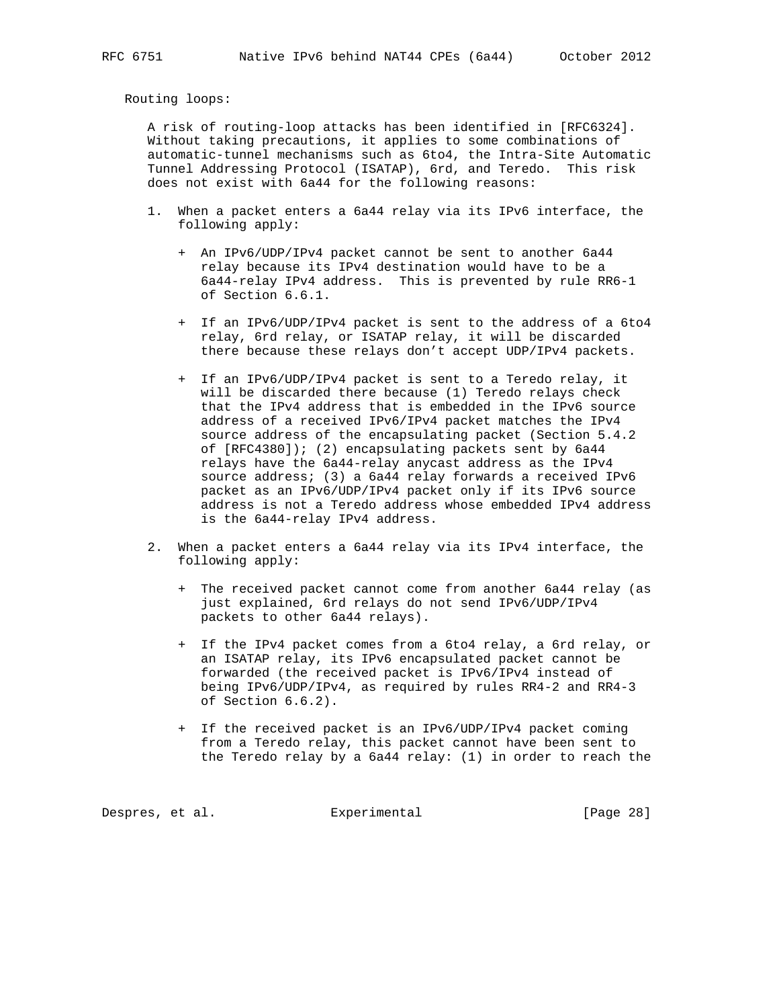Routing loops:

 A risk of routing-loop attacks has been identified in [RFC6324]. Without taking precautions, it applies to some combinations of automatic-tunnel mechanisms such as 6to4, the Intra-Site Automatic Tunnel Addressing Protocol (ISATAP), 6rd, and Teredo. This risk does not exist with 6a44 for the following reasons:

- 1. When a packet enters a 6a44 relay via its IPv6 interface, the following apply:
	- + An IPv6/UDP/IPv4 packet cannot be sent to another 6a44 relay because its IPv4 destination would have to be a 6a44-relay IPv4 address. This is prevented by rule RR6-1 of Section 6.6.1.
	- + If an IPv6/UDP/IPv4 packet is sent to the address of a 6to4 relay, 6rd relay, or ISATAP relay, it will be discarded there because these relays don't accept UDP/IPv4 packets.
	- + If an IPv6/UDP/IPv4 packet is sent to a Teredo relay, it will be discarded there because (1) Teredo relays check that the IPv4 address that is embedded in the IPv6 source address of a received IPv6/IPv4 packet matches the IPv4 source address of the encapsulating packet (Section 5.4.2 of [RFC4380]); (2) encapsulating packets sent by 6a44 relays have the 6a44-relay anycast address as the IPv4 source address; (3) a 6a44 relay forwards a received IPv6 packet as an IPv6/UDP/IPv4 packet only if its IPv6 source address is not a Teredo address whose embedded IPv4 address is the 6a44-relay IPv4 address.
- 2. When a packet enters a 6a44 relay via its IPv4 interface, the following apply:
	- + The received packet cannot come from another 6a44 relay (as just explained, 6rd relays do not send IPv6/UDP/IPv4 packets to other 6a44 relays).
	- + If the IPv4 packet comes from a 6to4 relay, a 6rd relay, or an ISATAP relay, its IPv6 encapsulated packet cannot be forwarded (the received packet is IPv6/IPv4 instead of being IPv6/UDP/IPv4, as required by rules RR4-2 and RR4-3 of Section 6.6.2).
	- + If the received packet is an IPv6/UDP/IPv4 packet coming from a Teredo relay, this packet cannot have been sent to the Teredo relay by a 6a44 relay: (1) in order to reach the

Despres, et al. Experimental Experimental [Page 28]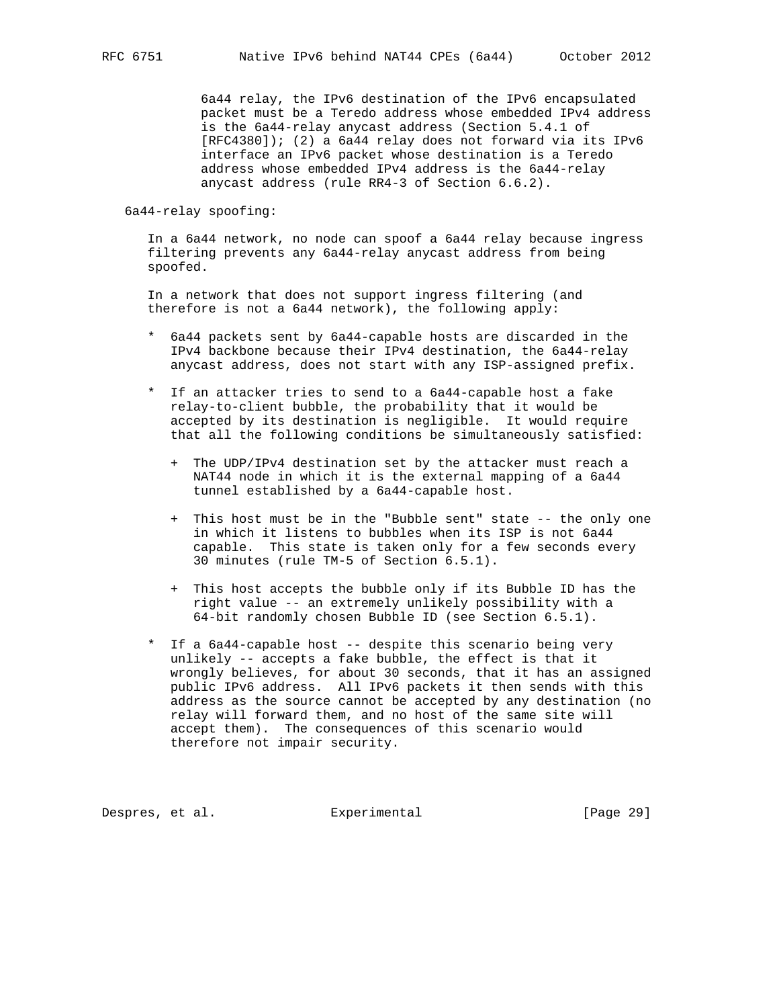6a44 relay, the IPv6 destination of the IPv6 encapsulated packet must be a Teredo address whose embedded IPv4 address is the 6a44-relay anycast address (Section 5.4.1 of [RFC4380]); (2) a 6a44 relay does not forward via its IPv6 interface an IPv6 packet whose destination is a Teredo address whose embedded IPv4 address is the 6a44-relay anycast address (rule RR4-3 of Section 6.6.2).

6a44-relay spoofing:

 In a 6a44 network, no node can spoof a 6a44 relay because ingress filtering prevents any 6a44-relay anycast address from being spoofed.

 In a network that does not support ingress filtering (and therefore is not a 6a44 network), the following apply:

- \* 6a44 packets sent by 6a44-capable hosts are discarded in the IPv4 backbone because their IPv4 destination, the 6a44-relay anycast address, does not start with any ISP-assigned prefix.
- \* If an attacker tries to send to a 6a44-capable host a fake relay-to-client bubble, the probability that it would be accepted by its destination is negligible. It would require that all the following conditions be simultaneously satisfied:
	- + The UDP/IPv4 destination set by the attacker must reach a NAT44 node in which it is the external mapping of a 6a44 tunnel established by a 6a44-capable host.
	- + This host must be in the "Bubble sent" state -- the only one in which it listens to bubbles when its ISP is not 6a44 capable. This state is taken only for a few seconds every 30 minutes (rule TM-5 of Section 6.5.1).
	- + This host accepts the bubble only if its Bubble ID has the right value -- an extremely unlikely possibility with a 64-bit randomly chosen Bubble ID (see Section 6.5.1).
- \* If a 6a44-capable host -- despite this scenario being very unlikely -- accepts a fake bubble, the effect is that it wrongly believes, for about 30 seconds, that it has an assigned public IPv6 address. All IPv6 packets it then sends with this address as the source cannot be accepted by any destination (no relay will forward them, and no host of the same site will accept them). The consequences of this scenario would therefore not impair security.

Despres, et al. Experimental [Page 29]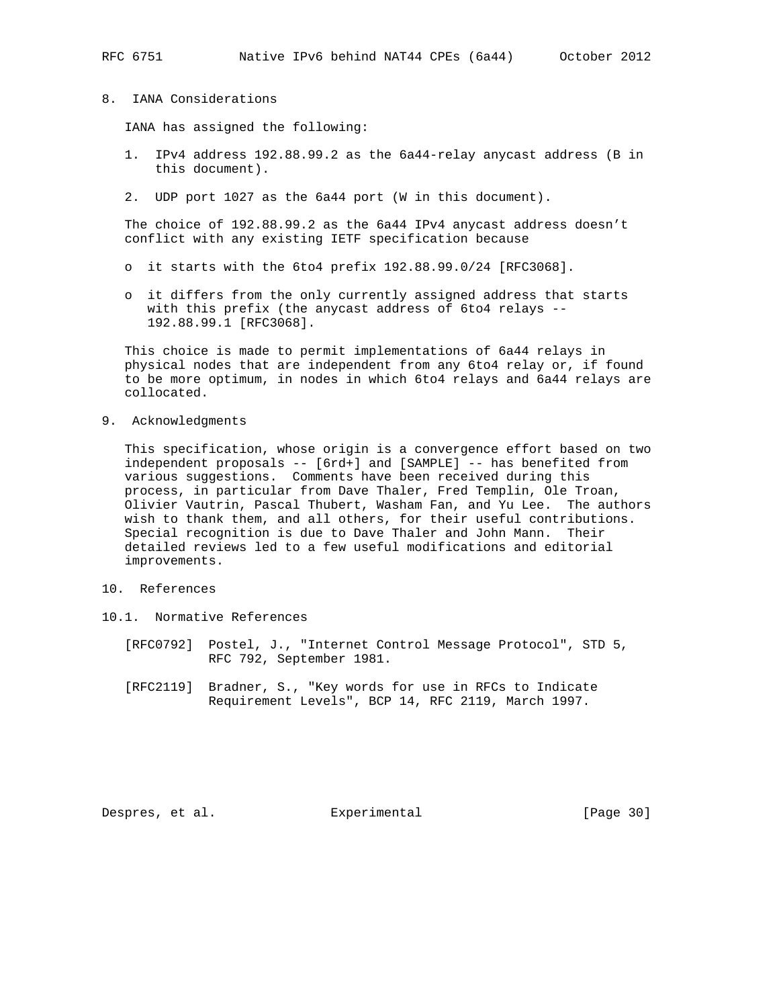- 
- 8. IANA Considerations

IANA has assigned the following:

- 1. IPv4 address 192.88.99.2 as the 6a44-relay anycast address (B in this document).
- 2. UDP port 1027 as the 6a44 port (W in this document).

 The choice of 192.88.99.2 as the 6a44 IPv4 anycast address doesn't conflict with any existing IETF specification because

- o it starts with the 6to4 prefix 192.88.99.0/24 [RFC3068].
- o it differs from the only currently assigned address that starts with this prefix (the anycast address of 6to4 relays -- 192.88.99.1 [RFC3068].

 This choice is made to permit implementations of 6a44 relays in physical nodes that are independent from any 6to4 relay or, if found to be more optimum, in nodes in which 6to4 relays and 6a44 relays are collocated.

9. Acknowledgments

 This specification, whose origin is a convergence effort based on two independent proposals -- [6rd+] and [SAMPLE] -- has benefited from various suggestions. Comments have been received during this process, in particular from Dave Thaler, Fred Templin, Ole Troan, Olivier Vautrin, Pascal Thubert, Washam Fan, and Yu Lee. The authors wish to thank them, and all others, for their useful contributions. Special recognition is due to Dave Thaler and John Mann. Their detailed reviews led to a few useful modifications and editorial improvements.

- 10. References
- 10.1. Normative References
	- [RFC0792] Postel, J., "Internet Control Message Protocol", STD 5, RFC 792, September 1981.
	- [RFC2119] Bradner, S., "Key words for use in RFCs to Indicate Requirement Levels", BCP 14, RFC 2119, March 1997.

Despres, et al. Experimental [Page 30]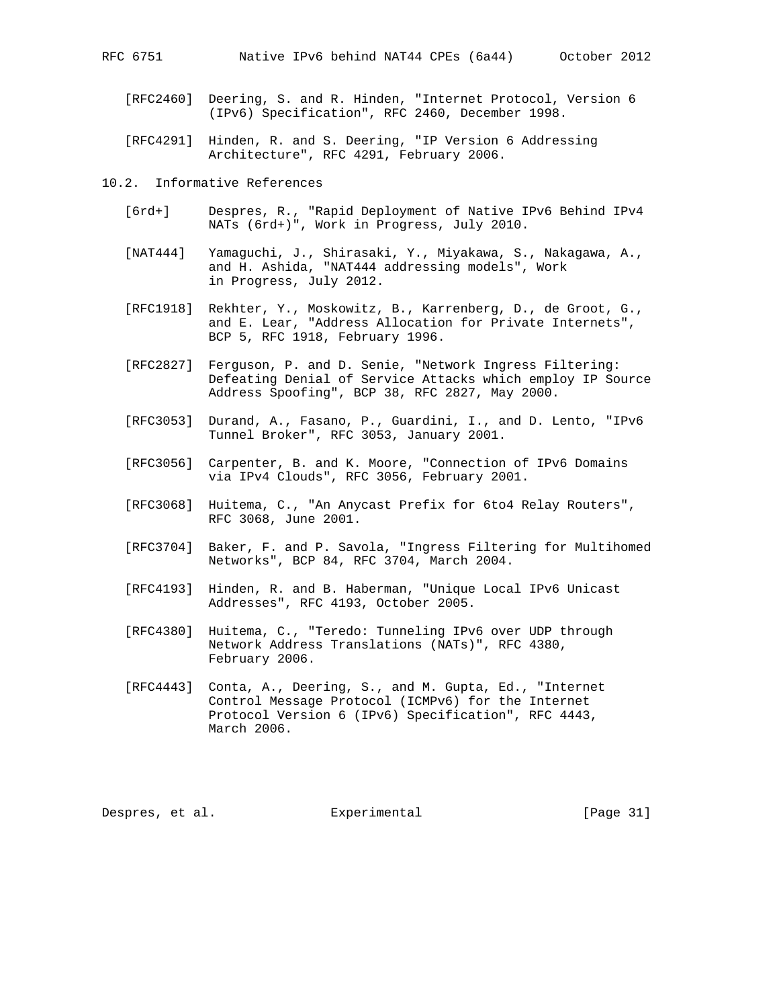- [RFC2460] Deering, S. and R. Hinden, "Internet Protocol, Version 6 (IPv6) Specification", RFC 2460, December 1998.
- [RFC4291] Hinden, R. and S. Deering, "IP Version 6 Addressing Architecture", RFC 4291, February 2006.

10.2. Informative References

- [6rd+] Despres, R., "Rapid Deployment of Native IPv6 Behind IPv4 NATs (6rd+)", Work in Progress, July 2010.
- [NAT444] Yamaguchi, J., Shirasaki, Y., Miyakawa, S., Nakagawa, A., and H. Ashida, "NAT444 addressing models", Work in Progress, July 2012.
- [RFC1918] Rekhter, Y., Moskowitz, B., Karrenberg, D., de Groot, G., and E. Lear, "Address Allocation for Private Internets", BCP 5, RFC 1918, February 1996.
- [RFC2827] Ferguson, P. and D. Senie, "Network Ingress Filtering: Defeating Denial of Service Attacks which employ IP Source Address Spoofing", BCP 38, RFC 2827, May 2000.
- [RFC3053] Durand, A., Fasano, P., Guardini, I., and D. Lento, "IPv6 Tunnel Broker", RFC 3053, January 2001.
- [RFC3056] Carpenter, B. and K. Moore, "Connection of IPv6 Domains via IPv4 Clouds", RFC 3056, February 2001.
- [RFC3068] Huitema, C., "An Anycast Prefix for 6to4 Relay Routers", RFC 3068, June 2001.
- [RFC3704] Baker, F. and P. Savola, "Ingress Filtering for Multihomed Networks", BCP 84, RFC 3704, March 2004.
- [RFC4193] Hinden, R. and B. Haberman, "Unique Local IPv6 Unicast Addresses", RFC 4193, October 2005.
- [RFC4380] Huitema, C., "Teredo: Tunneling IPv6 over UDP through Network Address Translations (NATs)", RFC 4380, February 2006.
- [RFC4443] Conta, A., Deering, S., and M. Gupta, Ed., "Internet Control Message Protocol (ICMPv6) for the Internet Protocol Version 6 (IPv6) Specification", RFC 4443, March 2006.

Despres, et al. Experimental [Page 31]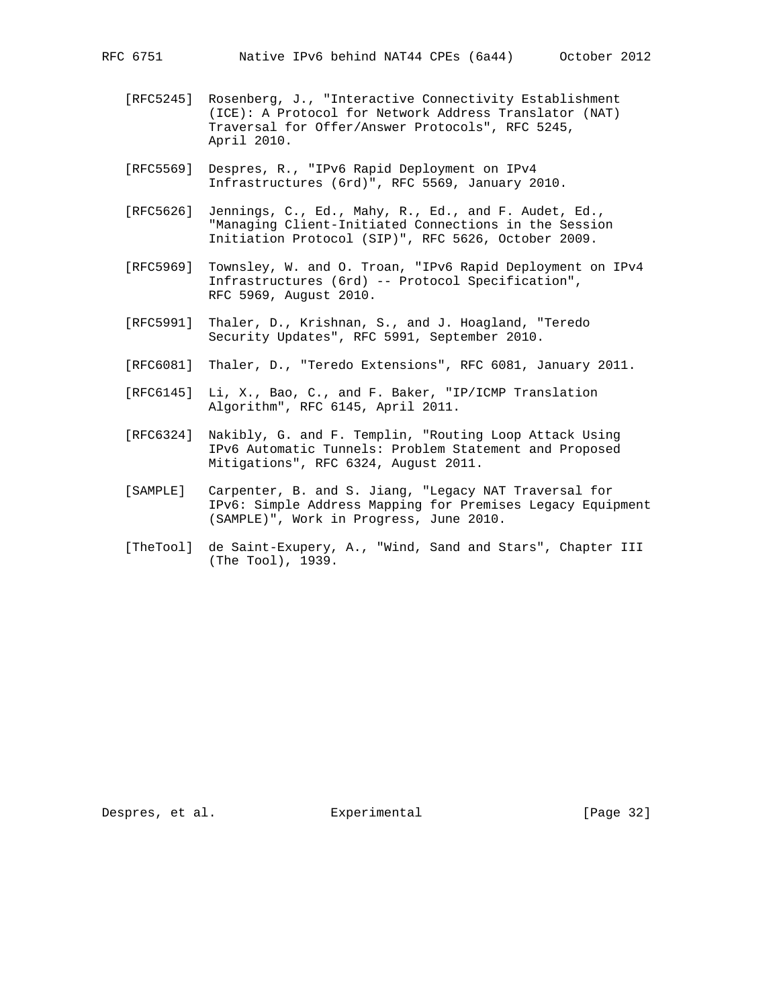- [RFC5245] Rosenberg, J., "Interactive Connectivity Establishment (ICE): A Protocol for Network Address Translator (NAT) Traversal for Offer/Answer Protocols", RFC 5245, April 2010.
- [RFC5569] Despres, R., "IPv6 Rapid Deployment on IPv4 Infrastructures (6rd)", RFC 5569, January 2010.
- [RFC5626] Jennings, C., Ed., Mahy, R., Ed., and F. Audet, Ed., "Managing Client-Initiated Connections in the Session Initiation Protocol (SIP)", RFC 5626, October 2009.
- [RFC5969] Townsley, W. and O. Troan, "IPv6 Rapid Deployment on IPv4 Infrastructures (6rd) -- Protocol Specification", RFC 5969, August 2010.
- [RFC5991] Thaler, D., Krishnan, S., and J. Hoagland, "Teredo Security Updates", RFC 5991, September 2010.
- [RFC6081] Thaler, D., "Teredo Extensions", RFC 6081, January 2011.
- [RFC6145] Li, X., Bao, C., and F. Baker, "IP/ICMP Translation Algorithm", RFC 6145, April 2011.
- [RFC6324] Nakibly, G. and F. Templin, "Routing Loop Attack Using IPv6 Automatic Tunnels: Problem Statement and Proposed Mitigations", RFC 6324, August 2011.
- [SAMPLE] Carpenter, B. and S. Jiang, "Legacy NAT Traversal for IPv6: Simple Address Mapping for Premises Legacy Equipment (SAMPLE)", Work in Progress, June 2010.
- [TheTool] de Saint-Exupery, A., "Wind, Sand and Stars", Chapter III (The Tool), 1939.

Despres, et al. Experimental [Page 32]